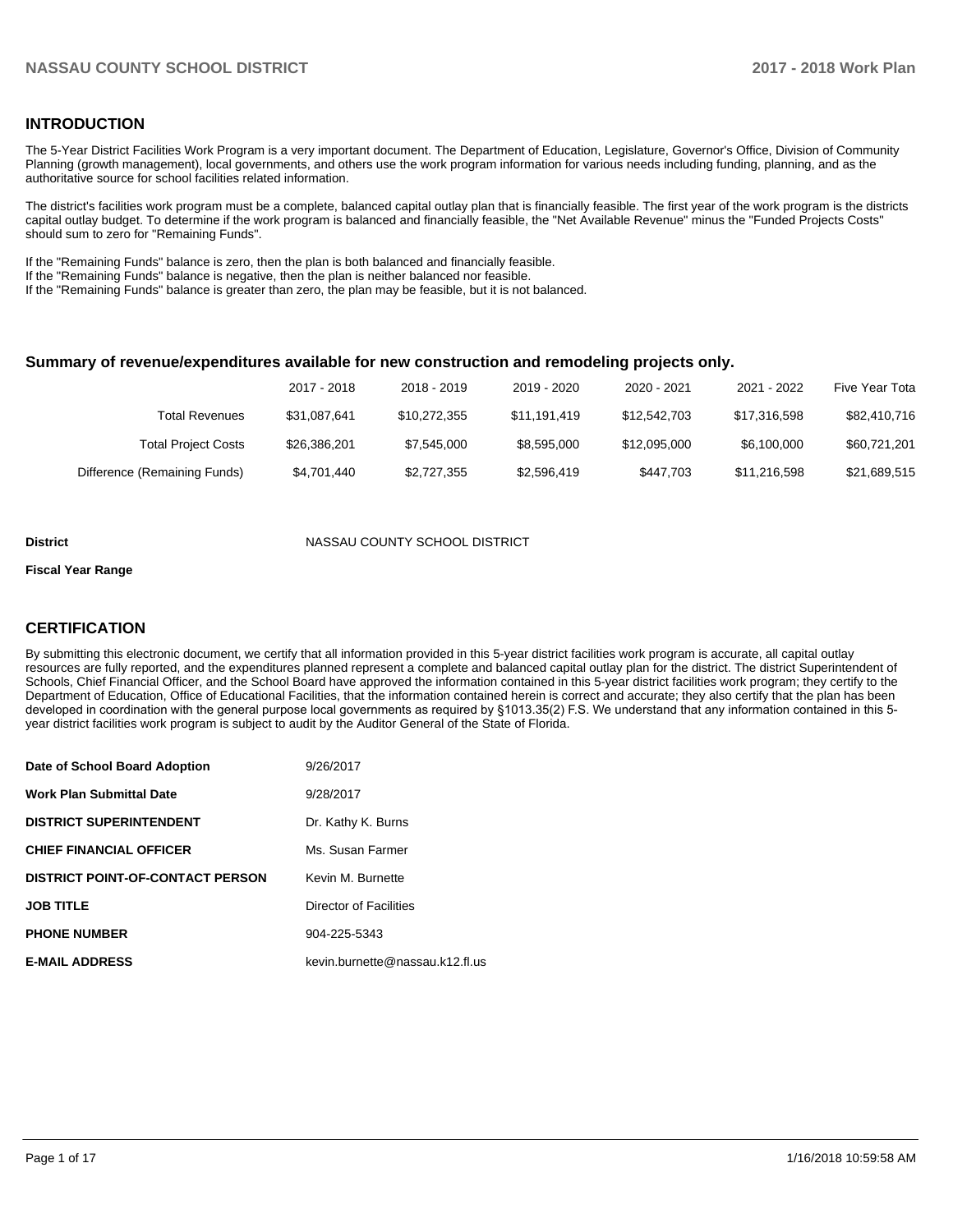## **INTRODUCTION**

The 5-Year District Facilities Work Program is a very important document. The Department of Education, Legislature, Governor's Office, Division of Community Planning (growth management), local governments, and others use the work program information for various needs including funding, planning, and as the authoritative source for school facilities related information.

The district's facilities work program must be a complete, balanced capital outlay plan that is financially feasible. The first year of the work program is the districts capital outlay budget. To determine if the work program is balanced and financially feasible, the "Net Available Revenue" minus the "Funded Projects Costs" should sum to zero for "Remaining Funds".

If the "Remaining Funds" balance is zero, then the plan is both balanced and financially feasible.

If the "Remaining Funds" balance is negative, then the plan is neither balanced nor feasible.

If the "Remaining Funds" balance is greater than zero, the plan may be feasible, but it is not balanced.

#### **Summary of revenue/expenditures available for new construction and remodeling projects only.**

|                              | 2017 - 2018  | 2018 - 2019  | 2019 - 2020  | 2020 - 2021  | 2021 - 2022  | Five Year Tota |
|------------------------------|--------------|--------------|--------------|--------------|--------------|----------------|
| <b>Total Revenues</b>        | \$31,087,641 | \$10,272,355 | \$11.191.419 | \$12,542,703 | \$17.316.598 | \$82,410,716   |
| <b>Total Project Costs</b>   | \$26,386,201 | \$7,545,000  | \$8,595,000  | \$12.095.000 | \$6,100,000  | \$60,721,201   |
| Difference (Remaining Funds) | \$4,701,440  | \$2,727,355  | \$2,596,419  | \$447.703    | \$11,216,598 | \$21,689,515   |

#### **District COUNTY SCHOOL DISTRICT**

#### **Fiscal Year Range**

## **CERTIFICATION**

By submitting this electronic document, we certify that all information provided in this 5-year district facilities work program is accurate, all capital outlay resources are fully reported, and the expenditures planned represent a complete and balanced capital outlay plan for the district. The district Superintendent of Schools, Chief Financial Officer, and the School Board have approved the information contained in this 5-year district facilities work program; they certify to the Department of Education, Office of Educational Facilities, that the information contained herein is correct and accurate; they also certify that the plan has been developed in coordination with the general purpose local governments as required by §1013.35(2) F.S. We understand that any information contained in this 5year district facilities work program is subject to audit by the Auditor General of the State of Florida.

| Date of School Board Adoption           | 9/26/2017                       |
|-----------------------------------------|---------------------------------|
| <b>Work Plan Submittal Date</b>         | 9/28/2017                       |
| <b>DISTRICT SUPERINTENDENT</b>          | Dr. Kathy K. Burns              |
| <b>CHIEF FINANCIAL OFFICER</b>          | Ms. Susan Farmer                |
| <b>DISTRICT POINT-OF-CONTACT PERSON</b> | Kevin M. Burnette               |
| <b>JOB TITLE</b>                        | Director of Facilities          |
| <b>PHONE NUMBER</b>                     | 904-225-5343                    |
| <b>E-MAIL ADDRESS</b>                   | kevin.burnette@nassau.k12.fl.us |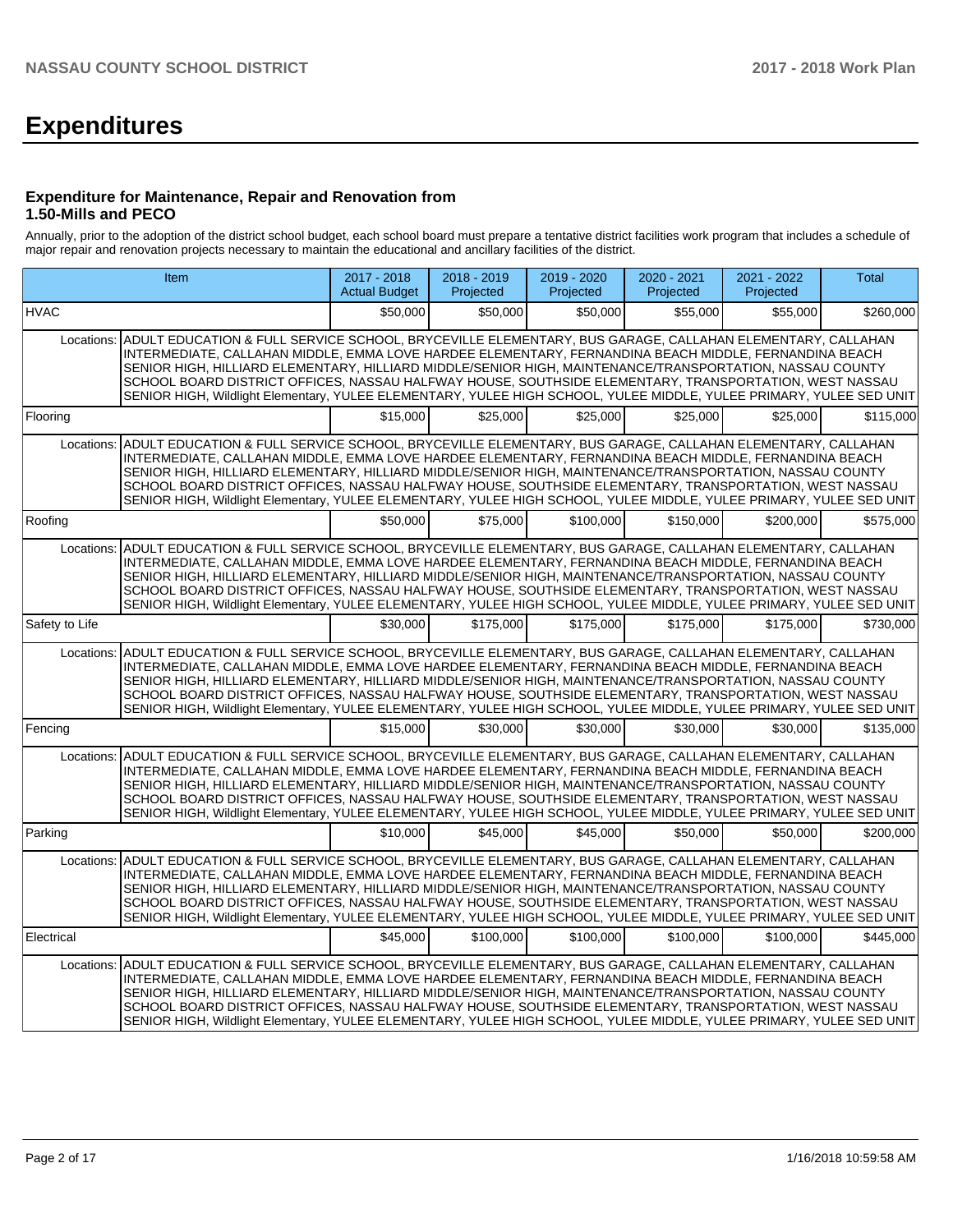# **Expenditures**

### **Expenditure for Maintenance, Repair and Renovation from 1.50-Mills and PECO**

Annually, prior to the adoption of the district school budget, each school board must prepare a tentative district facilities work program that includes a schedule of major repair and renovation projects necessary to maintain the educational and ancillary facilities of the district.

|                | Item                                                                                                                                                                                                                                                                                                                                                                                                                                                                                                                                                                     | $2017 - 2018$<br><b>Actual Budget</b> | 2018 - 2019<br>Projected | 2019 - 2020<br>Projected | 2020 - 2021<br>Projected | 2021 - 2022<br>Projected | <b>Total</b> |
|----------------|--------------------------------------------------------------------------------------------------------------------------------------------------------------------------------------------------------------------------------------------------------------------------------------------------------------------------------------------------------------------------------------------------------------------------------------------------------------------------------------------------------------------------------------------------------------------------|---------------------------------------|--------------------------|--------------------------|--------------------------|--------------------------|--------------|
| <b>HVAC</b>    |                                                                                                                                                                                                                                                                                                                                                                                                                                                                                                                                                                          | \$50,000                              | \$50,000                 | \$50.000                 | \$55,000                 | \$55,000                 | \$260,000    |
| Locations:     | ADULT EDUCATION & FULL SERVICE SCHOOL. BRYCEVILLE ELEMENTARY. BUS GARAGE. CALLAHAN ELEMENTARY. CALLAHAN<br>INTERMEDIATE, CALLAHAN MIDDLE, EMMA LOVE HARDEE ELEMENTARY, FERNANDINA BEACH MIDDLE, FERNANDINA BEACH<br>SENIOR HIGH, HILLIARD ELEMENTARY, HILLIARD MIDDLE/SENIOR HIGH, MAINTENANCE/TRANSPORTATION, NASSAU COUNTY<br>SCHOOL BOARD DISTRICT OFFICES, NASSAU HALFWAY HOUSE, SOUTHSIDE ELEMENTARY, TRANSPORTATION, WEST NASSAU<br>SENIOR HIGH, Wildlight Elementary, YULEE ELEMENTARY, YULEE HIGH SCHOOL, YULEE MIDDLE, YULEE PRIMARY, YULEE SED UNIT            |                                       |                          |                          |                          |                          |              |
| Flooring       |                                                                                                                                                                                                                                                                                                                                                                                                                                                                                                                                                                          | \$15,000                              | \$25,000                 | \$25.000                 | \$25,000                 | \$25,000                 | \$115,000    |
| Locations:     | ADULT EDUCATION & FULL SERVICE SCHOOL, BRYCEVILLE ELEMENTARY, BUS GARAGE, CALLAHAN ELEMENTARY, CALLAHAN<br>INTERMEDIATE, CALLAHAN MIDDLE, EMMA LOVE HARDEE ELEMENTARY, FERNANDINA BEACH MIDDLE, FERNANDINA BEACH<br>SENIOR HIGH, HILLIARD ELEMENTARY, HILLIARD MIDDLE/SENIOR HIGH, MAINTENANCE/TRANSPORTATION, NASSAU COUNTY<br>SCHOOL BOARD DISTRICT OFFICES, NASSAU HALFWAY HOUSE, SOUTHSIDE ELEMENTARY, TRANSPORTATION, WEST NASSAU<br>SENIOR HIGH, Wildlight Elementary, YULEE ELEMENTARY, YULEE HIGH SCHOOL, YULEE MIDDLE, YULEE PRIMARY, YULEE SED UNIT            |                                       |                          |                          |                          |                          |              |
| Roofing        |                                                                                                                                                                                                                                                                                                                                                                                                                                                                                                                                                                          | \$50,000                              | \$75,000                 | \$100,000                | \$150,000                | \$200,000                | \$575,000    |
|                | Locations: ADULT EDUCATION & FULL SERVICE SCHOOL, BRYCEVILLE ELEMENTARY, BUS GARAGE, CALLAHAN ELEMENTARY, CALLAHAN<br>INTERMEDIATE, CALLAHAN MIDDLE, EMMA LOVE HARDEE ELEMENTARY, FERNANDINA BEACH MIDDLE, FERNANDINA BEACH<br>SENIOR HIGH, HILLIARD ELEMENTARY, HILLIARD MIDDLE/SENIOR HIGH, MAINTENANCE/TRANSPORTATION, NASSAU COUNTY<br>SCHOOL BOARD DISTRICT OFFICES, NASSAU HALFWAY HOUSE, SOUTHSIDE ELEMENTARY, TRANSPORTATION, WEST NASSAU<br>SENIOR HIGH, Wildlight Elementary, YULEE ELEMENTARY, YULEE HIGH SCHOOL, YULEE MIDDLE, YULEE PRIMARY, YULEE SED UNIT |                                       |                          |                          |                          |                          |              |
| Safety to Life |                                                                                                                                                                                                                                                                                                                                                                                                                                                                                                                                                                          | \$30,000                              | \$175,000                | \$175,000                | \$175,000                | \$175,000                | \$730,000    |
| Locations:     | ADULT EDUCATION & FULL SERVICE SCHOOL, BRYCEVILLE ELEMENTARY, BUS GARAGE, CALLAHAN ELEMENTARY, CALLAHAN<br>INTERMEDIATE, CALLAHAN MIDDLE, EMMA LOVE HARDEE ELEMENTARY, FERNANDINA BEACH MIDDLE, FERNANDINA BEACH<br>SENIOR HIGH, HILLIARD ELEMENTARY, HILLIARD MIDDLE/SENIOR HIGH, MAINTENANCE/TRANSPORTATION, NASSAU COUNTY<br>SCHOOL BOARD DISTRICT OFFICES, NASSAU HALFWAY HOUSE, SOUTHSIDE ELEMENTARY, TRANSPORTATION, WEST NASSAU<br>SENIOR HIGH, Wildlight Elementary, YULEE ELEMENTARY, YULEE HIGH SCHOOL, YULEE MIDDLE, YULEE PRIMARY, YULEE SED UNIT            |                                       |                          |                          |                          |                          |              |
| Fencing        |                                                                                                                                                                                                                                                                                                                                                                                                                                                                                                                                                                          | \$15,000                              | \$30,000                 | \$30.000                 | \$30,000                 | \$30,000                 | \$135,000    |
| Locations:     | ADULT EDUCATION & FULL SERVICE SCHOOL, BRYCEVILLE ELEMENTARY, BUS GARAGE, CALLAHAN ELEMENTARY, CALLAHAN<br>INTERMEDIATE, CALLAHAN MIDDLE, EMMA LOVE HARDEE ELEMENTARY, FERNANDINA BEACH MIDDLE, FERNANDINA BEACH<br>SENIOR HIGH, HILLIARD ELEMENTARY, HILLIARD MIDDLE/SENIOR HIGH, MAINTENANCE/TRANSPORTATION, NASSAU COUNTY<br>SCHOOL BOARD DISTRICT OFFICES, NASSAU HALFWAY HOUSE, SOUTHSIDE ELEMENTARY, TRANSPORTATION, WEST NASSAU<br>SENIOR HIGH, Wildlight Elementary, YULEE ELEMENTARY, YULEE HIGH SCHOOL, YULEE MIDDLE, YULEE PRIMARY, YULEE SED UNIT            |                                       |                          |                          |                          |                          |              |
| Parking        |                                                                                                                                                                                                                                                                                                                                                                                                                                                                                                                                                                          | \$10,000                              | \$45,000                 | \$45,000                 | \$50,000                 | \$50,000                 | \$200,000    |
| Locations:     | ADULT EDUCATION & FULL SERVICE SCHOOL, BRYCEVILLE ELEMENTARY, BUS GARAGE, CALLAHAN ELEMENTARY, CALLAHAN<br>INTERMEDIATE, CALLAHAN MIDDLE, EMMA LOVE HARDEE ELEMENTARY, FERNANDINA BEACH MIDDLE, FERNANDINA BEACH<br>SENIOR HIGH, HILLIARD ELEMENTARY, HILLIARD MIDDLE/SENIOR HIGH, MAINTENANCE/TRANSPORTATION, NASSAU COUNTY<br>SCHOOL BOARD DISTRICT OFFICES, NASSAU HALFWAY HOUSE, SOUTHSIDE ELEMENTARY, TRANSPORTATION, WEST NASSAU<br>SENIOR HIGH, Wildlight Elementary, YULEE ELEMENTARY, YULEE HIGH SCHOOL, YULEE MIDDLE, YULEE PRIMARY, YULEE SED UNIT            |                                       |                          |                          |                          |                          |              |
| Electrical     |                                                                                                                                                                                                                                                                                                                                                                                                                                                                                                                                                                          | \$45,000                              | \$100,000                | \$100,000                | \$100,000                | \$100,000                | \$445,000    |
|                | Locations: ADULT EDUCATION & FULL SERVICE SCHOOL, BRYCEVILLE ELEMENTARY, BUS GARAGE, CALLAHAN ELEMENTARY, CALLAHAN<br>INTERMEDIATE, CALLAHAN MIDDLE, EMMA LOVE HARDEE ELEMENTARY, FERNANDINA BEACH MIDDLE, FERNANDINA BEACH<br>SENIOR HIGH, HILLIARD ELEMENTARY, HILLIARD MIDDLE/SENIOR HIGH, MAINTENANCE/TRANSPORTATION, NASSAU COUNTY<br>SCHOOL BOARD DISTRICT OFFICES, NASSAU HALFWAY HOUSE, SOUTHSIDE ELEMENTARY, TRANSPORTATION, WEST NASSAU<br>SENIOR HIGH, Wildlight Elementary, YULEE ELEMENTARY, YULEE HIGH SCHOOL, YULEE MIDDLE, YULEE PRIMARY, YULEE SED UNIT |                                       |                          |                          |                          |                          |              |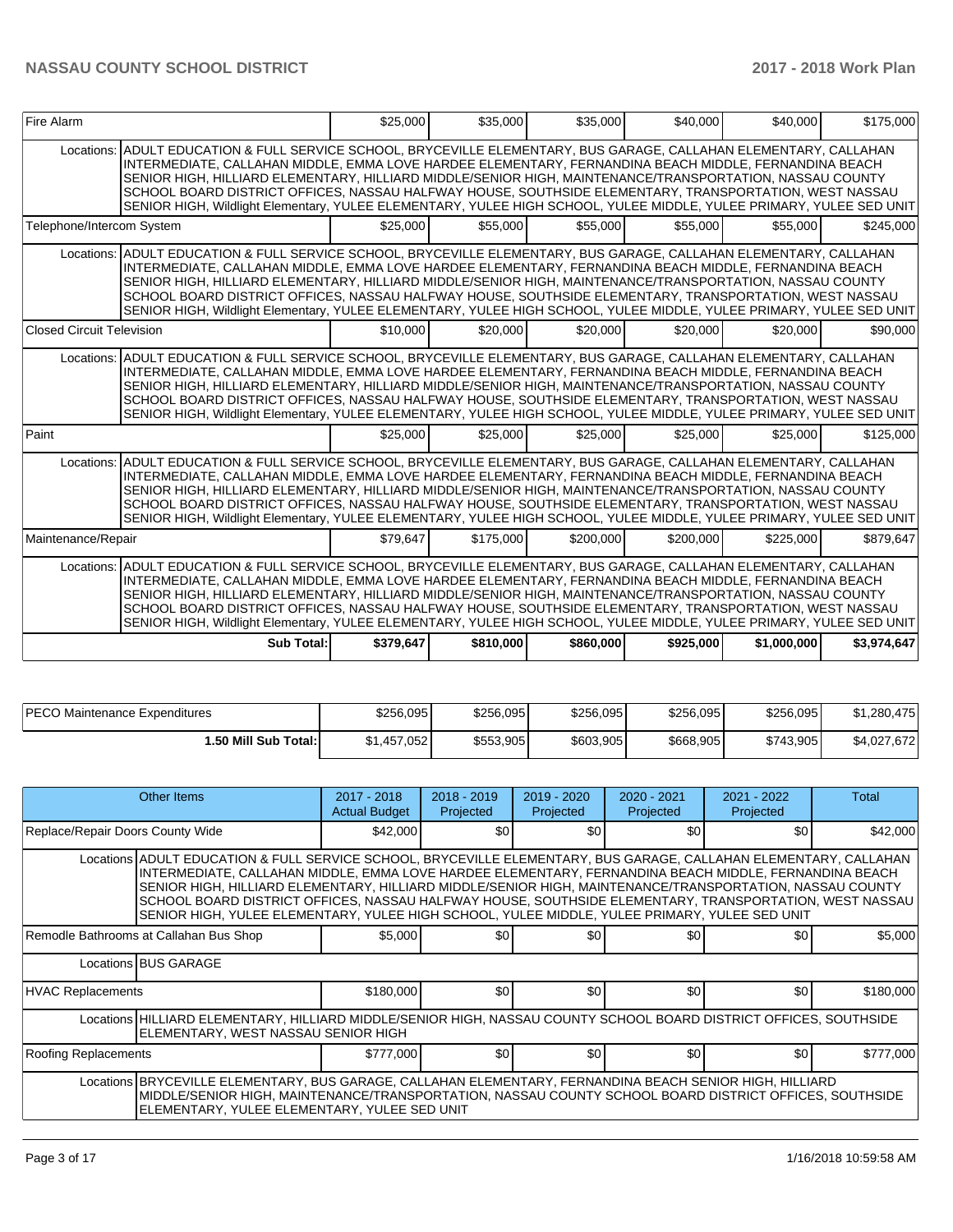| Fire Alarm                |                                                                                                                                                                                                                                                                                                                                                                                                                                                                                                                                                                                        | \$25,000  | \$35,000  | \$35,000  | \$40,000  | \$40,000    | \$175,000   |
|---------------------------|----------------------------------------------------------------------------------------------------------------------------------------------------------------------------------------------------------------------------------------------------------------------------------------------------------------------------------------------------------------------------------------------------------------------------------------------------------------------------------------------------------------------------------------------------------------------------------------|-----------|-----------|-----------|-----------|-------------|-------------|
|                           | Locations: ADULT EDUCATION & FULL SERVICE SCHOOL, BRYCEVILLE ELEMENTARY, BUS GARAGE, CALLAHAN ELEMENTARY, CALLAHAN<br>INTERMEDIATE, CALLAHAN MIDDLE, EMMA LOVE HARDEE ELEMENTARY, FERNANDINA BEACH MIDDLE, FERNANDINA BEACH<br>SENIOR HIGH, HILLIARD ELEMENTARY, HILLIARD MIDDLE/SENIOR HIGH, MAINTENANCE/TRANSPORTATION, NASSAU COUNTY<br>SCHOOL BOARD DISTRICT OFFICES, NASSAU HALFWAY HOUSE, SOUTHSIDE ELEMENTARY, TRANSPORTATION, WEST NASSAU<br>SENIOR HIGH, Wildlight Elementary, YULEE ELEMENTARY, YULEE HIGH SCHOOL, YULEE MIDDLE, YULEE PRIMARY, YULEE SED UNIT               |           |           |           |           |             |             |
| Telephone/Intercom System |                                                                                                                                                                                                                                                                                                                                                                                                                                                                                                                                                                                        | \$25,000  | \$55,000  | \$55,000  | \$55,000  | \$55,000    | \$245,000   |
|                           | Locations: ADULT EDUCATION & FULL SERVICE SCHOOL, BRYCEVILLE ELEMENTARY, BUS GARAGE, CALLAHAN ELEMENTARY, CALLAHAN<br>INTERMEDIATE, CALLAHAN MIDDLE, EMMA LOVE HARDEE ELEMENTARY, FERNANDINA BEACH MIDDLE, FERNANDINA BEACH<br>SENIOR HIGH, HILLIARD ELEMENTARY, HILLIARD MIDDLE/SENIOR HIGH, MAINTENANCE/TRANSPORTATION, NASSAU COUNTY<br>SCHOOL BOARD DISTRICT OFFICES, NASSAU HALFWAY HOUSE, SOUTHSIDE ELEMENTARY, TRANSPORTATION, WEST NASSAU<br>SENIOR HIGH, Wildlight Elementary, YULEE ELEMENTARY, YULEE HIGH SCHOOL, YULEE MIDDLE, YULEE PRIMARY, YULEE SED UNIT               |           |           |           |           |             |             |
| Closed Circuit Television |                                                                                                                                                                                                                                                                                                                                                                                                                                                                                                                                                                                        | \$10,000  | \$20,000  | \$20,000  | \$20,000  | \$20,000    | \$90,000    |
|                           | Locations: ADULT EDUCATION & FULL SERVICE SCHOOL, BRYCEVILLE ELEMENTARY, BUS GARAGE, CALLAHAN ELEMENTARY, CALLAHAN<br>INTERMEDIATE, CALLAHAN MIDDLE, EMMA LOVE HARDEE ELEMENTARY, FERNANDINA BEACH MIDDLE, FERNANDINA BEACH<br>SENIOR HIGH, HILLIARD ELEMENTARY, HILLIARD MIDDLE/SENIOR HIGH, MAINTENANCE/TRANSPORTATION, NASSAU COUNTY<br>SCHOOL BOARD DISTRICT OFFICES, NASSAU HALFWAY HOUSE, SOUTHSIDE ELEMENTARY, TRANSPORTATION, WEST NASSAU<br>SENIOR HIGH, Wildlight Elementary, YULEE ELEMENTARY, YULEE HIGH SCHOOL, YULEE MIDDLE, YULEE PRIMARY, YULEE SED UNIT               |           |           |           |           |             |             |
| Paint                     |                                                                                                                                                                                                                                                                                                                                                                                                                                                                                                                                                                                        | \$25,000  | \$25,000  | \$25,000  | \$25,000  | \$25,000    | \$125,000   |
|                           | Locations: ADULT EDUCATION & FULL SERVICE SCHOOL, BRYCEVILLE ELEMENTARY, BUS GARAGE, CALLAHAN ELEMENTARY, CALLAHAN<br>INTERMEDIATE, CALLAHAN MIDDLE, EMMA LOVE HARDEE ELEMENTARY, FERNANDINA BEACH MIDDLE, FERNANDINA BEACH<br>SENIOR HIGH. HILLIARD ELEMENTARY. HILLIARD MIDDLE/SENIOR HIGH. MAINTENANCE/TRANSPORTATION. NASSAU COUNTY<br>SCHOOL BOARD DISTRICT OFFICES, NASSAU HALFWAY HOUSE, SOUTHSIDE ELEMENTARY, TRANSPORTATION, WEST NASSAU<br>SENIOR HIGH, Wildlight Elementary, YULEE ELEMENTARY, YULEE HIGH SCHOOL, YULEE MIDDLE, YULEE PRIMARY, YULEE SED UNIT               |           |           |           |           |             |             |
| Maintenance/Repair        |                                                                                                                                                                                                                                                                                                                                                                                                                                                                                                                                                                                        | \$79.647  | \$175,000 | \$200,000 | \$200.000 | \$225,000   | \$879.647   |
|                           | Locations: ADULT EDUCATION & FULL SERVICE SCHOOL, BRYCEVILLE ELEMENTARY, BUS GARAGE, CALLAHAN ELEMENTARY, CALLAHAN<br>INTERMEDIATE, CALLAHAN MIDDLE, EMMA LOVE HARDEE ELEMENTARY, FERNANDINA BEACH MIDDLE, FERNANDINA BEACH<br>SENIOR HIGH, HILLIARD ELEMENTARY, HILLIARD MIDDLE/SENIOR HIGH, MAINTENANCE/TRANSPORTATION, NASSAU COUNTY<br>SCHOOL BOARD DISTRICT OFFICES, NASSAU HALFWAY HOUSE, SOUTHSIDE ELEMENTARY, TRANSPORTATION, WEST NASSAU<br>SENIOR HIGH, Wildlight Elementary, YULEE ELEMENTARY, YULEE HIGH SCHOOL, YULEE MIDDLE, YULEE PRIMARY, YULEE SED UNIT<br>Sub Total: | \$379.647 | \$810,000 | \$860,000 | \$925.000 | \$1,000,000 | \$3.974.647 |
|                           |                                                                                                                                                                                                                                                                                                                                                                                                                                                                                                                                                                                        |           |           |           |           |             |             |

| <b>PECO</b><br>) Maintenance Expenditures | \$256.095   | \$256.095 | \$256.095 | \$256.095 | \$256.095 | \$1.280.475 |
|-------------------------------------------|-------------|-----------|-----------|-----------|-----------|-------------|
| 1.50 Mill Sub Total:                      | \$1,457,052 | \$553,905 | \$603,905 | \$668,905 | \$743,905 | \$4,027,672 |

|                                  | Other Items                                                                                                                                                                                                                                                                                                                                                                                                                                                                                                                                       | $2017 - 2018$<br><b>Actual Budget</b> | $2018 - 2019$<br>Projected | $2019 - 2020$<br>Projected | 2020 - 2021<br>Projected | 2021 - 2022<br>Projected | Total     |  |  |  |
|----------------------------------|---------------------------------------------------------------------------------------------------------------------------------------------------------------------------------------------------------------------------------------------------------------------------------------------------------------------------------------------------------------------------------------------------------------------------------------------------------------------------------------------------------------------------------------------------|---------------------------------------|----------------------------|----------------------------|--------------------------|--------------------------|-----------|--|--|--|
| Replace/Repair Doors County Wide |                                                                                                                                                                                                                                                                                                                                                                                                                                                                                                                                                   | \$42,000                              | \$0                        | \$0                        | \$0                      | \$0                      | \$42,000  |  |  |  |
|                                  | Locations ADULT EDUCATION & FULL SERVICE SCHOOL, BRYCEVILLE ELEMENTARY, BUS GARAGE, CALLAHAN ELEMENTARY, CALLAHAN<br>INTERMEDIATE, CALLAHAN MIDDLE, EMMA LOVE HARDEE ELEMENTARY, FERNANDINA BEACH MIDDLE, FERNANDINA BEACH<br>SENIOR HIGH, HILLIARD ELEMENTARY, HILLIARD MIDDLE/SENIOR HIGH, MAINTENANCE/TRANSPORTATION, NASSAU COUNTY<br>SCHOOL BOARD DISTRICT OFFICES, NASSAU HALFWAY HOUSE, SOUTHSIDE ELEMENTARY, TRANSPORTATION, WEST NASSAU<br>SENIOR HIGH, YULEE ELEMENTARY, YULEE HIGH SCHOOL, YULEE MIDDLE, YULEE PRIMARY, YULEE SED UNIT |                                       |                            |                            |                          |                          |           |  |  |  |
|                                  | Remodle Bathrooms at Callahan Bus Shop                                                                                                                                                                                                                                                                                                                                                                                                                                                                                                            | \$5,000                               | <b>\$01</b>                | \$0                        | \$0                      | \$0 <sub>1</sub>         | \$5,000   |  |  |  |
|                                  | Locations BUS GARAGE                                                                                                                                                                                                                                                                                                                                                                                                                                                                                                                              |                                       |                            |                            |                          |                          |           |  |  |  |
| <b>HVAC Replacements</b>         |                                                                                                                                                                                                                                                                                                                                                                                                                                                                                                                                                   | \$180,000                             | <b>\$01</b>                | \$0                        | \$0                      | <b>SO</b>                | \$180,000 |  |  |  |
|                                  | Locations HILLIARD ELEMENTARY, HILLIARD MIDDLE/SENIOR HIGH, NASSAU COUNTY SCHOOL BOARD DISTRICT OFFICES, SOUTHSIDE<br>ELEMENTARY, WEST NASSAU SENIOR HIGH                                                                                                                                                                                                                                                                                                                                                                                         |                                       |                            |                            |                          |                          |           |  |  |  |
| Roofing Replacements             |                                                                                                                                                                                                                                                                                                                                                                                                                                                                                                                                                   | \$777,000                             | \$0                        | \$0                        | \$0                      | \$0                      | \$777,000 |  |  |  |
|                                  | Locations BRYCEVILLE ELEMENTARY, BUS GARAGE, CALLAHAN ELEMENTARY, FERNANDINA BEACH SENIOR HIGH, HILLIARD<br>MIDDLE/SENIOR HIGH, MAINTENANCE/TRANSPORTATION, NASSAU COUNTY SCHOOL BOARD DISTRICT OFFICES, SOUTHSIDE<br>ELEMENTARY, YULEE ELEMENTARY, YULEE SED UNIT                                                                                                                                                                                                                                                                                |                                       |                            |                            |                          |                          |           |  |  |  |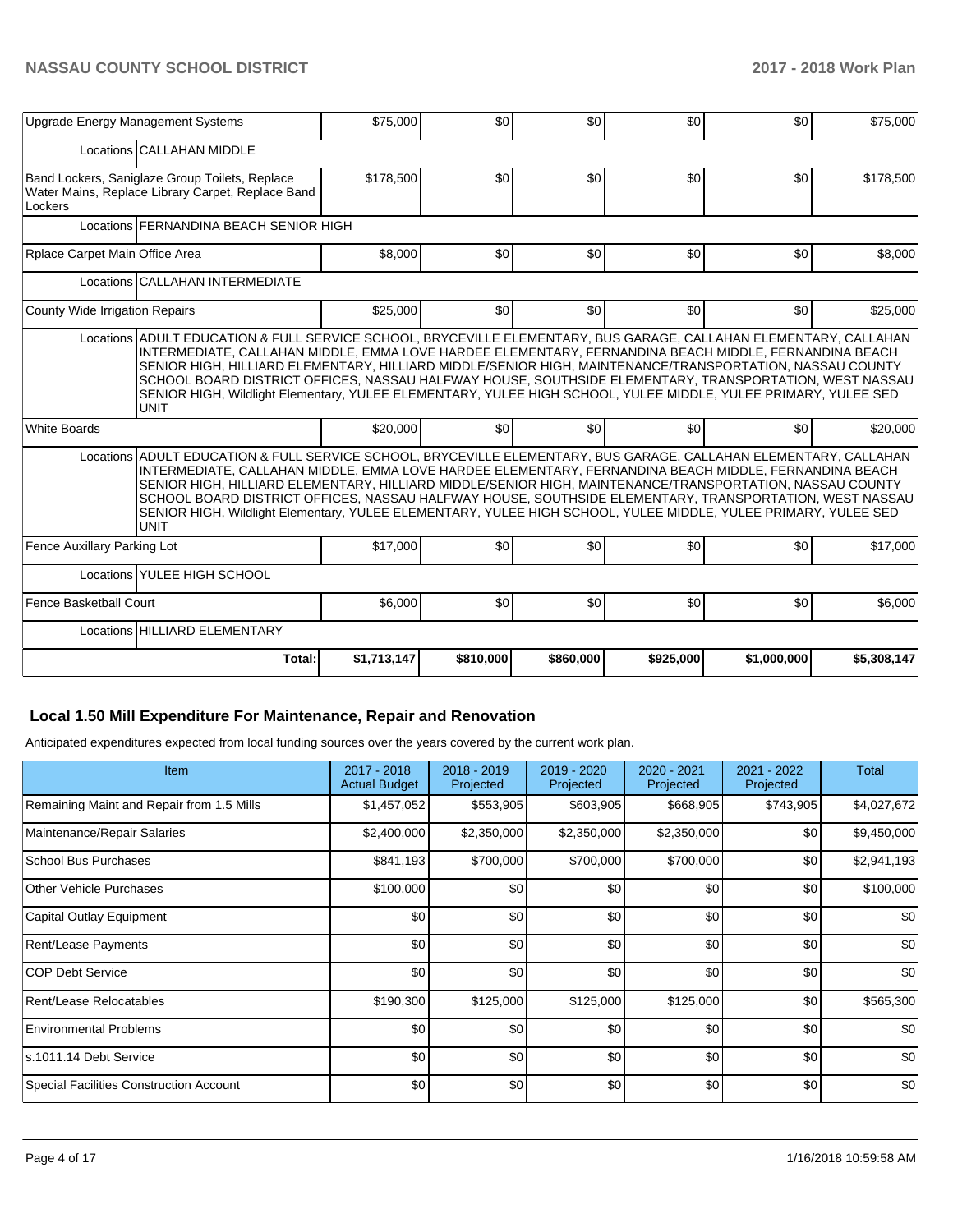| Upgrade Energy Management Systems                                                                                                                                                                                                                                                                                                                                                                                                                                                                                                                                                 | \$75,000    | \$0       | \$0       | \$0       | \$0              | \$75,000    |
|-----------------------------------------------------------------------------------------------------------------------------------------------------------------------------------------------------------------------------------------------------------------------------------------------------------------------------------------------------------------------------------------------------------------------------------------------------------------------------------------------------------------------------------------------------------------------------------|-------------|-----------|-----------|-----------|------------------|-------------|
| Locations CALLAHAN MIDDLE                                                                                                                                                                                                                                                                                                                                                                                                                                                                                                                                                         |             |           |           |           |                  |             |
| Band Lockers, Saniglaze Group Toilets, Replace<br>Water Mains, Replace Library Carpet, Replace Band<br>Lockers                                                                                                                                                                                                                                                                                                                                                                                                                                                                    | \$178,500   | \$0       | \$0       | \$0       | \$0              | \$178,500   |
| Locations FERNANDINA BEACH SENIOR HIGH                                                                                                                                                                                                                                                                                                                                                                                                                                                                                                                                            |             |           |           |           |                  |             |
| Rplace Carpet Main Office Area                                                                                                                                                                                                                                                                                                                                                                                                                                                                                                                                                    | \$8,000     | \$0       | \$0       | \$0       | \$0              | \$8,000     |
| Locations CALLAHAN INTERMEDIATE                                                                                                                                                                                                                                                                                                                                                                                                                                                                                                                                                   |             |           |           |           |                  |             |
| County Wide Irrigation Repairs                                                                                                                                                                                                                                                                                                                                                                                                                                                                                                                                                    | \$25,000    | \$0       | \$0       | \$0       | \$0 <sub>1</sub> | \$25,000    |
| Locations ADULT EDUCATION & FULL SERVICE SCHOOL, BRYCEVILLE ELEMENTARY, BUS GARAGE, CALLAHAN ELEMENTARY, CALLAHAN<br>INTERMEDIATE, CALLAHAN MIDDLE, EMMA LOVE HARDEE ELEMENTARY, FERNANDINA BEACH MIDDLE, FERNANDINA BEACH<br>SENIOR HIGH, HILLIARD ELEMENTARY, HILLIARD MIDDLE/SENIOR HIGH, MAINTENANCE/TRANSPORTATION, NASSAU COUNTY<br>SCHOOL BOARD DISTRICT OFFICES, NASSAU HALFWAY HOUSE, SOUTHSIDE ELEMENTARY, TRANSPORTATION, WEST NASSAU<br>SENIOR HIGH, Wildlight Elementary, YULEE ELEMENTARY, YULEE HIGH SCHOOL, YULEE MIDDLE, YULEE PRIMARY, YULEE SED<br><b>UNIT</b> |             |           |           |           |                  |             |
| <b>White Boards</b>                                                                                                                                                                                                                                                                                                                                                                                                                                                                                                                                                               | \$20,000    | \$0       | \$0       | \$0       | \$0 <sub>1</sub> | \$20,000    |
| Locations ADULT EDUCATION & FULL SERVICE SCHOOL, BRYCEVILLE ELEMENTARY, BUS GARAGE, CALLAHAN ELEMENTARY, CALLAHAN<br>INTERMEDIATE, CALLAHAN MIDDLE, EMMA LOVE HARDEE ELEMENTARY, FERNANDINA BEACH MIDDLE, FERNANDINA BEACH<br>SENIOR HIGH, HILLIARD ELEMENTARY, HILLIARD MIDDLE/SENIOR HIGH, MAINTENANCE/TRANSPORTATION, NASSAU COUNTY<br>SCHOOL BOARD DISTRICT OFFICES, NASSAU HALFWAY HOUSE, SOUTHSIDE ELEMENTARY, TRANSPORTATION, WEST NASSAU<br>SENIOR HIGH, Wildlight Elementary, YULEE ELEMENTARY, YULEE HIGH SCHOOL, YULEE MIDDLE, YULEE PRIMARY, YULEE SED<br><b>UNIT</b> |             |           |           |           |                  |             |
| Fence Auxillary Parking Lot                                                                                                                                                                                                                                                                                                                                                                                                                                                                                                                                                       | \$17,000    | \$0       | \$0       | \$0       | \$0              | \$17,000    |
| Locations YULEE HIGH SCHOOL                                                                                                                                                                                                                                                                                                                                                                                                                                                                                                                                                       |             |           |           |           |                  |             |
| Fence Basketball Court                                                                                                                                                                                                                                                                                                                                                                                                                                                                                                                                                            | \$6,000     | \$0       | \$0       | \$0       | \$0              | \$6,000     |
| Locations HILLIARD ELEMENTARY                                                                                                                                                                                                                                                                                                                                                                                                                                                                                                                                                     |             |           |           |           |                  |             |
| Total:                                                                                                                                                                                                                                                                                                                                                                                                                                                                                                                                                                            | \$1,713,147 | \$810,000 | \$860,000 | \$925,000 | \$1,000,000      | \$5,308,147 |

## **Local 1.50 Mill Expenditure For Maintenance, Repair and Renovation**

Anticipated expenditures expected from local funding sources over the years covered by the current work plan.

| Item                                      | 2017 - 2018<br><b>Actual Budget</b> | $2018 - 2019$<br>Projected | 2019 - 2020<br>Projected | 2020 - 2021<br>Projected | 2021 - 2022<br>Projected | <b>Total</b> |
|-------------------------------------------|-------------------------------------|----------------------------|--------------------------|--------------------------|--------------------------|--------------|
| Remaining Maint and Repair from 1.5 Mills | \$1,457,052                         | \$553,905                  | \$603,905                | \$668,905                | \$743,905                | \$4,027,672  |
| Maintenance/Repair Salaries               | \$2,400,000                         | \$2,350,000                | \$2,350,000              | \$2,350,000              | \$0                      | \$9,450,000  |
| <b>School Bus Purchases</b>               | \$841,193                           | \$700,000                  | \$700,000                | \$700,000                | \$0                      | \$2,941,193  |
| Other Vehicle Purchases                   | \$100,000                           | \$0                        | \$0                      | \$0                      | \$0                      | \$100,000    |
| Capital Outlay Equipment                  | \$0                                 | \$0                        | \$0                      | \$0                      | \$0                      | \$0          |
| Rent/Lease Payments                       | \$0                                 | \$0                        | \$0                      | \$0                      | \$0                      | \$0          |
| ICOP Debt Service                         | \$0                                 | \$0                        | \$0                      | \$0                      | \$0                      | \$0          |
| Rent/Lease Relocatables                   | \$190,300                           | \$125,000                  | \$125,000                | \$125,000                | \$0                      | \$565,300    |
| <b>Environmental Problems</b>             | \$0                                 | \$0                        | \$0                      | \$0                      | \$0                      | \$0          |
| ls.1011.14 Debt Service                   | \$0                                 | \$0                        | \$0                      | \$0                      | \$0                      | \$0          |
| Special Facilities Construction Account   | \$0                                 | \$0                        | \$0                      | \$0                      | \$0                      | \$0          |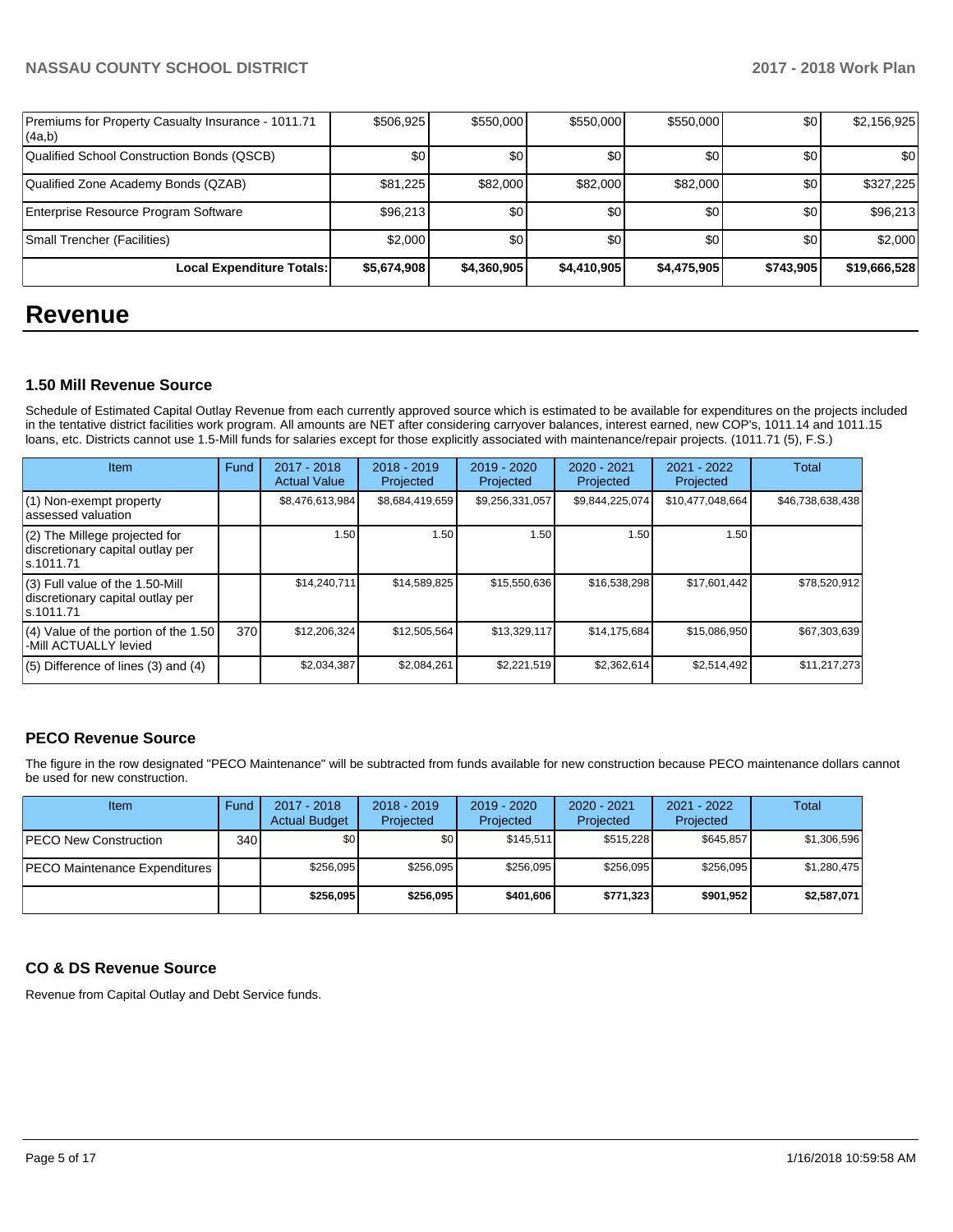| Premiums for Property Casualty Insurance - 1011.71<br> (4a,b) | \$506,925   | \$550,000   | \$550,000   | \$550,000   | \$0       | \$2,156,925  |
|---------------------------------------------------------------|-------------|-------------|-------------|-------------|-----------|--------------|
| Qualified School Construction Bonds (QSCB)                    | \$0         | \$0         | \$0         | \$0         | \$0       | \$0          |
| Qualified Zone Academy Bonds (QZAB)                           | \$81,225    | \$82,000    | \$82,000    | \$82,000    | \$0       | \$327,225    |
| Enterprise Resource Program Software                          | \$96,213    | \$0         | \$0         | \$0         | \$0       | \$96,213     |
| Small Trencher (Facilities)                                   | \$2,000     | \$0         | \$0         | \$0         | \$0       | \$2,000      |
| Local Expenditure Totals:                                     | \$5,674,908 | \$4,360,905 | \$4,410,905 | \$4,475,905 | \$743,905 | \$19,666,528 |

## **Revenue**

## **1.50 Mill Revenue Source**

Schedule of Estimated Capital Outlay Revenue from each currently approved source which is estimated to be available for expenditures on the projects included in the tentative district facilities work program. All amounts are NET after considering carryover balances, interest earned, new COP's, 1011.14 and 1011.15 loans, etc. Districts cannot use 1.5-Mill funds for salaries except for those explicitly associated with maintenance/repair projects. (1011.71 (5), F.S.)

| <b>Item</b>                                                                         | Fund | $2017 - 2018$<br><b>Actual Value</b> | $2018 - 2019$<br>Projected | 2019 - 2020<br>Projected | $2020 - 2021$<br>Projected | $2021 - 2022$<br>Projected | <b>Total</b>     |
|-------------------------------------------------------------------------------------|------|--------------------------------------|----------------------------|--------------------------|----------------------------|----------------------------|------------------|
| $(1)$ Non-exempt property<br>lassessed valuation                                    |      | \$8,476,613,984                      | \$8,684,419,659            | \$9,256,331,057          | \$9,844,225,074            | \$10,477,048,664           | \$46,738,638,438 |
| $(2)$ The Millege projected for<br>discretionary capital outlay per<br>ls.1011.71   |      | 1.50                                 | 1.50                       | 1.50                     | 1.50                       | 1.50                       |                  |
| $(3)$ Full value of the 1.50-Mill<br>discretionary capital outlay per<br>ls.1011.71 |      | \$14,240,711                         | \$14,589,825               | \$15,550,636             | \$16,538,298               | \$17,601,442               | \$78,520,912     |
| $(4)$ Value of the portion of the 1.50<br>-Mill ACTUALLY levied                     | 370  | \$12,206,324                         | \$12,505,564               | \$13,329,117             | \$14,175,684               | \$15,086,950               | \$67,303,639     |
| $(5)$ Difference of lines $(3)$ and $(4)$                                           |      | \$2,034,387                          | \$2,084,261                | \$2,221,519              | \$2,362,614                | \$2,514,492                | \$11,217,273     |

## **PECO Revenue Source**

The figure in the row designated "PECO Maintenance" will be subtracted from funds available for new construction because PECO maintenance dollars cannot be used for new construction.

| <b>Item</b>                          | Fund         | $2017 - 2018$<br><b>Actual Budget</b> | $2018 - 2019$<br>Projected | 2019 - 2020<br>Projected | $2020 - 2021$<br>Projected | 2021 - 2022<br>Projected | Total       |
|--------------------------------------|--------------|---------------------------------------|----------------------------|--------------------------|----------------------------|--------------------------|-------------|
| <b>IPECO New Construction</b>        | 340 <b>I</b> | \$0 <sub>1</sub>                      | \$0 <sub>1</sub>           | \$145.511                | \$515.228                  | \$645.857                | \$1,306,596 |
| <b>PECO Maintenance Expenditures</b> |              | \$256.095                             | \$256.095                  | \$256.095                | \$256.095                  | \$256.095                | \$1,280,475 |
|                                      |              | \$256,095                             | \$256,095                  | \$401.606                | \$771.323                  | \$901.952                | \$2,587,071 |

## **CO & DS Revenue Source**

Revenue from Capital Outlay and Debt Service funds.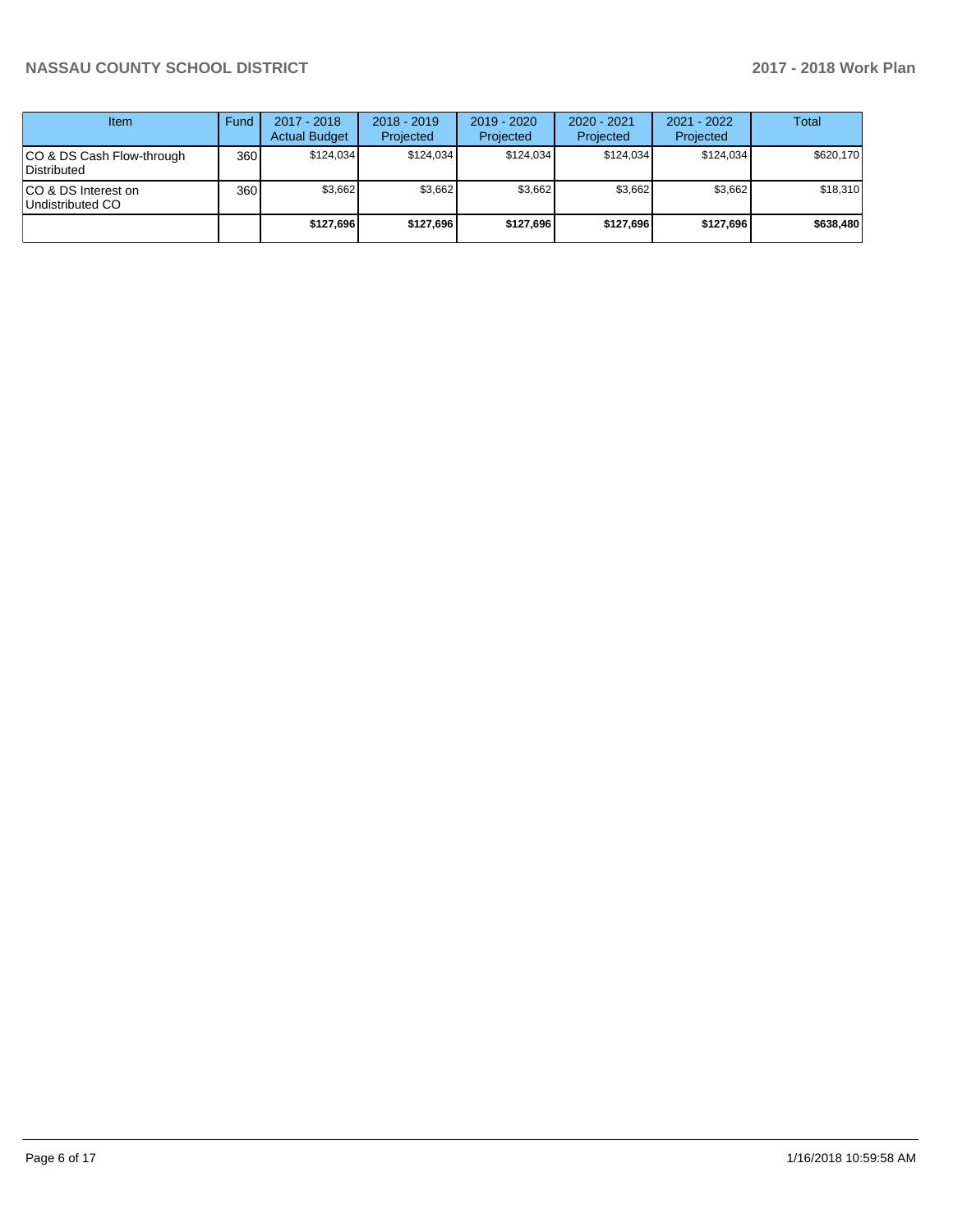| Item                                      | Fund | $2017 - 2018$<br><b>Actual Budget</b> | $2018 - 2019$<br>Projected | $2019 - 2020$<br>Projected | $2020 - 2021$<br>Projected | 2021 - 2022<br>Projected | <b>Total</b> |
|-------------------------------------------|------|---------------------------------------|----------------------------|----------------------------|----------------------------|--------------------------|--------------|
| ICO & DS Cash Flow-through<br>Distributed | 360  | \$124.034                             | \$124,034                  | \$124.034                  | \$124.034                  | \$124.034                | \$620,170    |
| ICO & DS Interest on<br>Undistributed CO  | 360  | \$3.662                               | \$3,662                    | \$3,662                    | \$3,662                    | \$3.662                  | \$18,310     |
|                                           |      | \$127.696                             | \$127.696                  | \$127.696                  | \$127.696                  | \$127.696                | \$638,480    |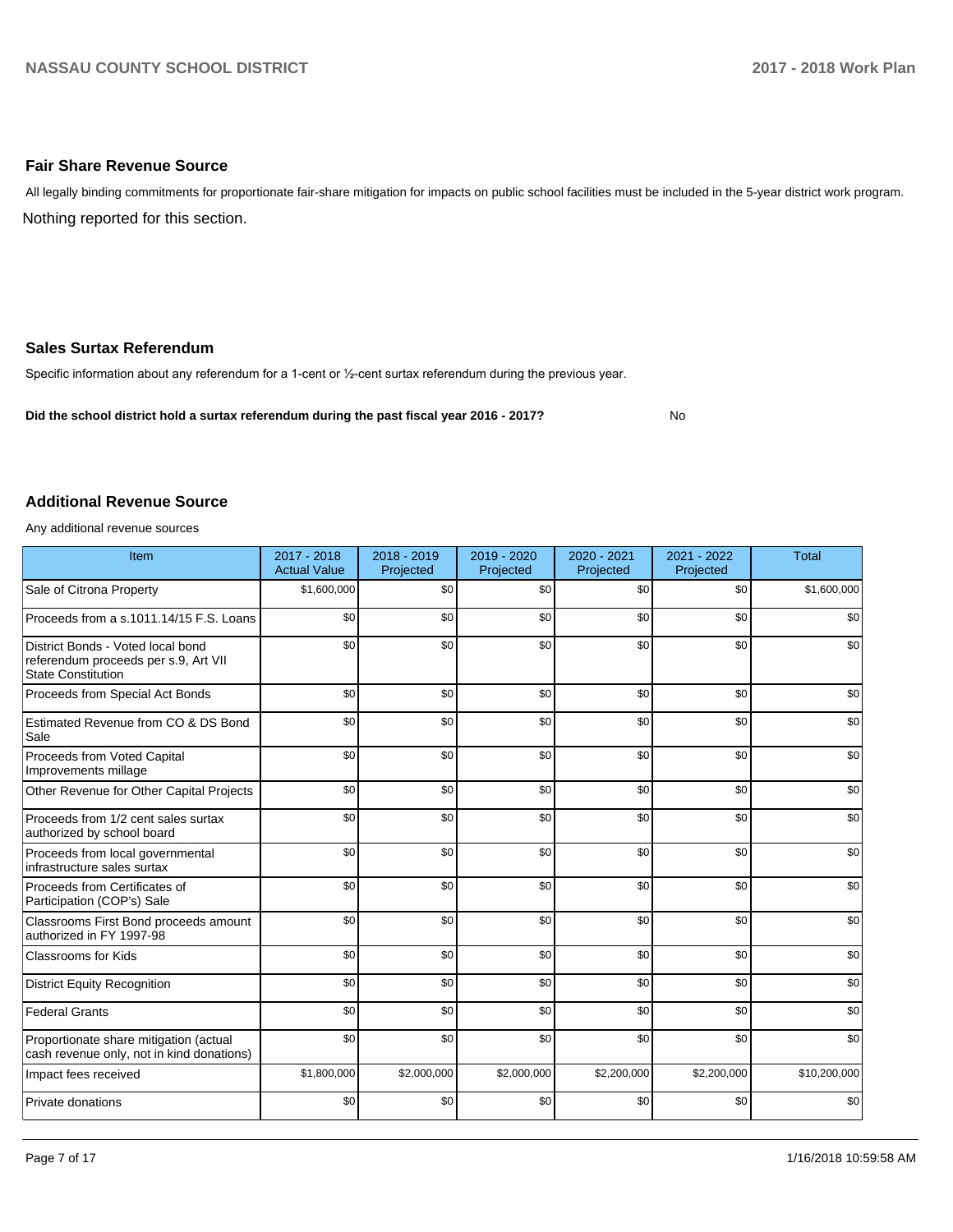### **Fair Share Revenue Source**

Nothing reported for this section. All legally binding commitments for proportionate fair-share mitigation for impacts on public school facilities must be included in the 5-year district work program.

### **Sales Surtax Referendum**

Specific information about any referendum for a 1-cent or 1/2-cent surtax referendum during the previous year.

**Did the school district hold a surtax referendum during the past fiscal year 2016 - 2017?**

No

#### **Additional Revenue Source**

Any additional revenue sources

| Item                                                                                                   | 2017 - 2018<br><b>Actual Value</b> | 2018 - 2019<br>Projected | 2019 - 2020<br>Projected | 2020 - 2021<br>Projected | 2021 - 2022<br>Projected | <b>Total</b> |
|--------------------------------------------------------------------------------------------------------|------------------------------------|--------------------------|--------------------------|--------------------------|--------------------------|--------------|
| Sale of Citrona Property                                                                               | \$1,600,000                        | \$0                      | \$0                      | \$0                      | \$0                      | \$1,600,000  |
| Proceeds from a s.1011.14/15 F.S. Loans                                                                | \$0                                | \$0                      | \$0                      | \$0                      | \$0                      | \$0          |
| District Bonds - Voted local bond<br>referendum proceeds per s.9, Art VII<br><b>State Constitution</b> | \$0                                | \$0                      | \$0                      | \$0                      | \$0                      | \$0          |
| Proceeds from Special Act Bonds                                                                        | \$0                                | \$0                      | \$0                      | \$0                      | \$0                      | \$0          |
| Estimated Revenue from CO & DS Bond<br>Sale                                                            | \$0                                | \$0                      | \$0                      | \$0                      | \$0                      | \$0          |
| Proceeds from Voted Capital<br>Improvements millage                                                    | \$0                                | \$0                      | \$0                      | \$0                      | \$0                      | \$0          |
| Other Revenue for Other Capital Projects                                                               | \$0                                | \$0                      | \$0                      | \$0                      | \$0                      | \$0          |
| Proceeds from 1/2 cent sales surtax<br>authorized by school board                                      | \$0                                | \$0                      | \$0                      | \$0                      | \$0                      | \$0          |
| Proceeds from local governmental<br>infrastructure sales surtax                                        | \$0                                | \$0                      | \$0                      | \$0                      | \$0                      | \$0          |
| Proceeds from Certificates of<br>Participation (COP's) Sale                                            | \$0                                | \$0                      | \$0                      | \$0                      | \$0                      | \$0          |
| Classrooms First Bond proceeds amount<br>authorized in FY 1997-98                                      | \$0                                | \$0                      | \$0                      | \$0                      | \$0                      | \$0          |
| <b>Classrooms for Kids</b>                                                                             | \$0                                | \$0                      | \$0                      | \$0                      | \$0                      | \$0          |
| <b>District Equity Recognition</b>                                                                     | \$0                                | \$0                      | \$0                      | \$0                      | \$0                      | \$0          |
| <b>Federal Grants</b>                                                                                  | \$0                                | \$0                      | \$0                      | \$0                      | \$0                      | \$0          |
| Proportionate share mitigation (actual<br>cash revenue only, not in kind donations)                    | \$0                                | \$0                      | \$0                      | \$0                      | \$0                      | \$0          |
| Impact fees received                                                                                   | \$1,800,000                        | \$2,000,000              | \$2,000,000              | \$2,200,000              | \$2,200,000              | \$10,200,000 |
| Private donations                                                                                      | \$0                                | \$0                      | \$0                      | \$0                      | \$0                      | \$0          |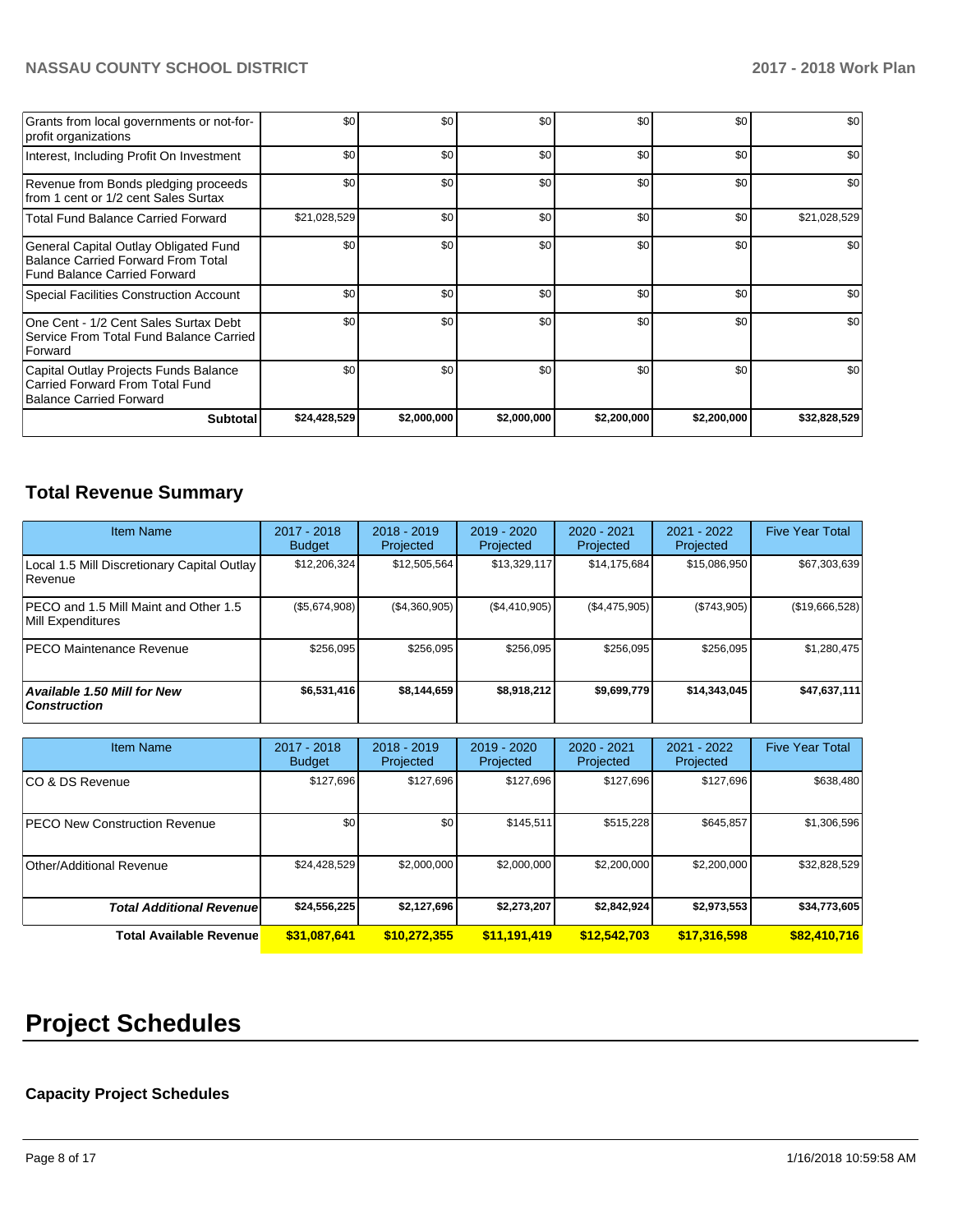| Grants from local governments or not-for-<br>profit organizations                                                         | \$0          | \$0         | \$0         | \$0         | \$0         | \$0          |
|---------------------------------------------------------------------------------------------------------------------------|--------------|-------------|-------------|-------------|-------------|--------------|
| Interest, Including Profit On Investment                                                                                  | \$0          | \$0         | \$0         | \$0         | \$0         | \$0          |
| Revenue from Bonds pledging proceeds<br>from 1 cent or 1/2 cent Sales Surtax                                              | \$0          | \$0         | \$0         | \$0         | \$0         | \$0          |
| <b>Total Fund Balance Carried Forward</b>                                                                                 | \$21,028,529 | \$0         | \$0         | \$0         | \$0         | \$21,028,529 |
| General Capital Outlay Obligated Fund<br><b>Balance Carried Forward From Total</b><br><b>Fund Balance Carried Forward</b> | \$0          | \$0         | \$0         | \$0         | \$0         | \$0          |
| Special Facilities Construction Account                                                                                   | \$0          | \$0         | \$0         | \$0         | \$0         | \$0          |
| One Cent - 1/2 Cent Sales Surtax Debt<br>Service From Total Fund Balance Carried<br>Forward                               | \$0          | \$0         | \$0         | \$0         | \$0         | \$0          |
| Capital Outlay Projects Funds Balance<br>Carried Forward From Total Fund<br><b>Balance Carried Forward</b>                | \$0          | \$0         | \$0         | \$0         | \$0         | \$0          |
| <b>Subtotal</b>                                                                                                           | \$24,428,529 | \$2,000,000 | \$2,000,000 | \$2,200,000 | \$2,200,000 | \$32,828,529 |

## **Total Revenue Summary**

| <b>Item Name</b>                                           | 2017 - 2018<br><b>Budget</b> | $2018 - 2019$<br>Projected | 2019 - 2020<br>Projected | $2020 - 2021$<br>Projected | $2021 - 2022$<br>Projected | <b>Five Year Total</b> |
|------------------------------------------------------------|------------------------------|----------------------------|--------------------------|----------------------------|----------------------------|------------------------|
| Local 1.5 Mill Discretionary Capital Outlay<br>Revenue     | \$12,206,324                 | \$12,505,564               | \$13,329,117             | \$14,175,684               | \$15,086,950               | \$67,303,639           |
| PECO and 1.5 Mill Maint and Other 1.5<br>Mill Expenditures | (\$5,674,908)                | (\$4,360,905)              | (\$4,410,905)            | (\$4,475,905)              | (\$743,905)                | (\$19,666,528)         |
| <b>PECO Maintenance Revenue</b>                            | \$256.095                    | \$256,095                  | \$256.095                | \$256.095                  | \$256,095                  | \$1,280,475            |
| <b>Available 1.50 Mill for New</b><br><b>Construction</b>  | \$6,531,416                  | \$8,144,659                | \$8,918,212              | \$9,699,779                | \$14.343.045               | \$47,637,111           |

| <b>Item Name</b>                      | 2017 - 2018<br><b>Budget</b> | $2018 - 2019$<br>Projected | $2019 - 2020$<br>Projected | 2020 - 2021<br>Projected | 2021 - 2022<br>Projected | <b>Five Year Total</b> |
|---------------------------------------|------------------------------|----------------------------|----------------------------|--------------------------|--------------------------|------------------------|
| ICO & DS Revenue                      | \$127,696                    | \$127,696                  | \$127,696                  | \$127,696                | \$127,696                | \$638,480              |
| <b>IPECO New Construction Revenue</b> | \$0                          | \$0                        | \$145,511                  | \$515,228                | \$645,857                | \$1,306,596            |
| Other/Additional Revenue              | \$24,428,529                 | \$2,000,000                | \$2,000,000                | \$2,200,000              | \$2,200,000              | \$32,828,529           |
| <b>Total Additional Revenuel</b>      | \$24,556,225                 | \$2,127,696                | \$2,273,207                | \$2,842,924              | \$2,973,553              | \$34,773,605           |
| <b>Total Available Revenue</b>        | \$31,087,641                 | \$10,272,355               | \$11,191,419               | \$12,542,703             | \$17,316,598             | \$82,410,716           |

# **Project Schedules**

## **Capacity Project Schedules**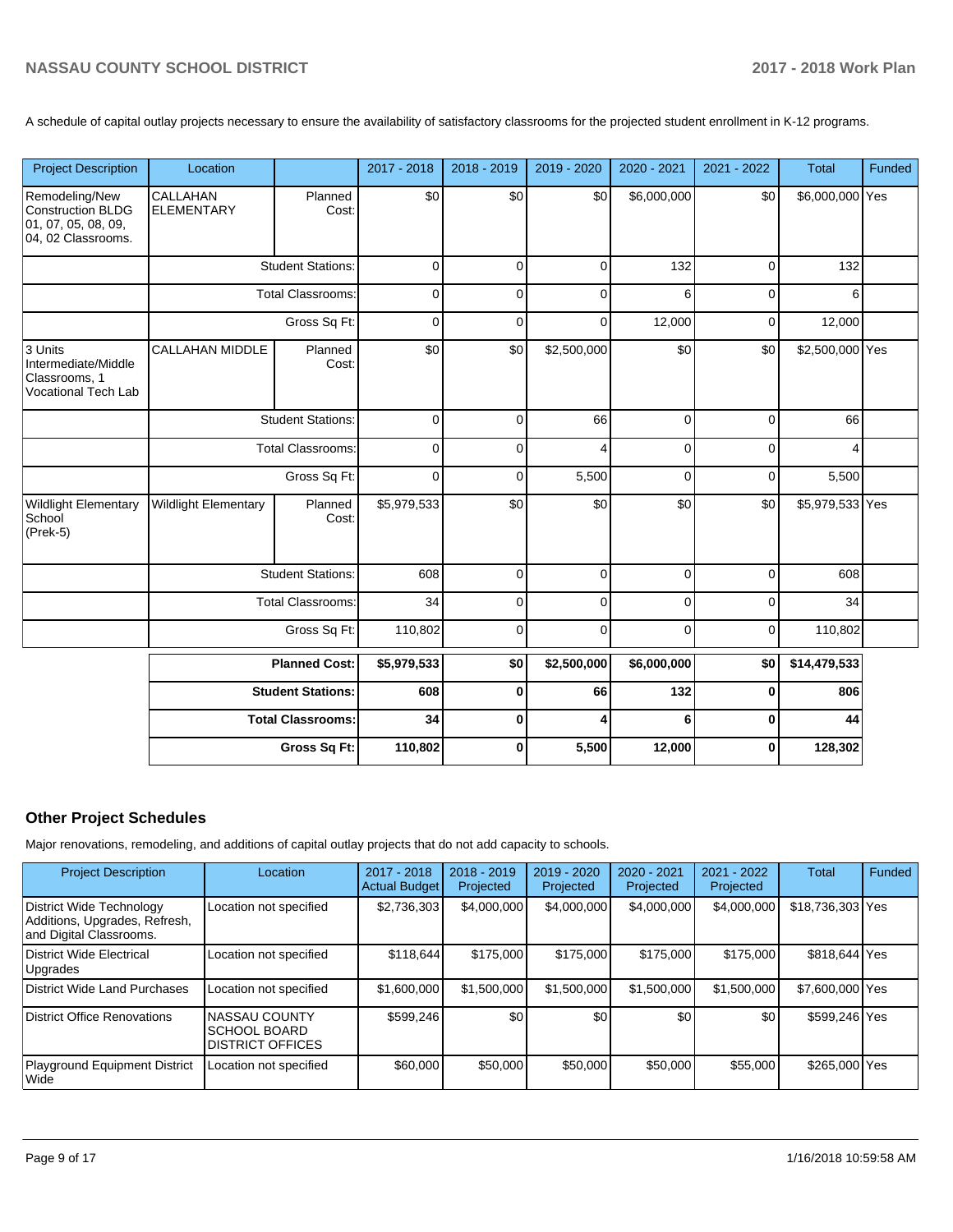A schedule of capital outlay projects necessary to ensure the availability of satisfactory classrooms for the projected student enrollment in K-12 programs.

| <b>Project Description</b>                                                       | Location                      |                          | 2017 - 2018 | 2018 - 2019 | 2019 - 2020 | 2020 - 2021 | 2021 - 2022 | <b>Total</b>    | Funded |
|----------------------------------------------------------------------------------|-------------------------------|--------------------------|-------------|-------------|-------------|-------------|-------------|-----------------|--------|
| Remodeling/New<br>Construction BLDG<br>01, 07, 05, 08, 09,<br>04, 02 Classrooms. | CALLAHAN<br><b>ELEMENTARY</b> | Planned<br>Cost:         | \$0         | \$0         | \$0         | \$6,000,000 | \$0         | \$6,000,000 Yes |        |
|                                                                                  |                               | <b>Student Stations:</b> | $\mathbf 0$ | $\mathbf 0$ | $\mathbf 0$ | 132         | $\pmb{0}$   | 132             |        |
|                                                                                  |                               | <b>Total Classrooms:</b> | $\mathbf 0$ | 0           | $\mathbf 0$ | 6           | $\mathbf 0$ | 6               |        |
|                                                                                  |                               | Gross Sq Ft:             | $\mathbf 0$ | $\Omega$    | $\mathbf 0$ | 12,000      | $\mathbf 0$ | 12,000          |        |
| 3 Units<br>Intermediate/Middle<br>Classrooms, 1<br><b>Vocational Tech Lab</b>    | <b>CALLAHAN MIDDLE</b>        | Planned<br>Cost:         | \$0         | \$0         | \$2,500,000 | \$0         | \$0         | \$2,500,000 Yes |        |
|                                                                                  | <b>Student Stations:</b>      |                          | $\mathbf 0$ | $\Omega$    | 66          | $\mathbf 0$ | $\mathbf 0$ | 66              |        |
|                                                                                  | <b>Total Classrooms:</b>      |                          | $\Omega$    | $\Omega$    | 4           | $\Omega$    | $\Omega$    | 4               |        |
|                                                                                  | Gross Sq Ft:                  |                          | $\mathbf 0$ | $\mathbf 0$ | 5,500       | $\mathbf 0$ | $\pmb{0}$   | 5,500           |        |
| Wildlight Elementary<br>School<br>$ $ (Prek-5)                                   | <b>Wildlight Elementary</b>   | Planned<br>Cost:         | \$5,979,533 | \$0         | \$0         | \$0         | \$0         | \$5,979,533 Yes |        |
|                                                                                  |                               | <b>Student Stations:</b> | 608         | $\mathbf 0$ | $\mathbf 0$ | $\mathbf 0$ | $\mathbf 0$ | 608             |        |
|                                                                                  |                               | <b>Total Classrooms:</b> | 34          | $\Omega$    | $\mathbf 0$ | $\Omega$    | $\mathbf 0$ | 34              |        |
|                                                                                  |                               | Gross Sq Ft:             | 110,802     | 0           | 0           | 0           | 0           | 110,802         |        |
|                                                                                  |                               | <b>Planned Cost:</b>     | \$5,979,533 | \$0         | \$2,500,000 | \$6,000,000 | \$0         | \$14,479,533    |        |
|                                                                                  |                               | <b>Student Stations:</b> | 608         | $\mathbf 0$ | 66          | 132         | 0           | 806             |        |
|                                                                                  |                               | <b>Total Classrooms:</b> | 34          | 0           | 4           | 6           | $\mathbf 0$ | 44              |        |
|                                                                                  |                               | Gross Sq Ft:             | 110,802     | $\mathbf 0$ | 5,500       | 12,000      | $\bf{0}$    | 128,302         |        |

## **Other Project Schedules**

Major renovations, remodeling, and additions of capital outlay projects that do not add capacity to schools.

| <b>Project Description</b>                                                           | Location                                                                | 2017 - 2018<br><b>Actual Budget</b> | $2018 - 2019$<br>Projected | 2019 - 2020<br>Projected | 2020 - 2021<br>Projected | $2021 - 2022$<br>Projected | <b>Total</b>     | <b>Funded</b> |
|--------------------------------------------------------------------------------------|-------------------------------------------------------------------------|-------------------------------------|----------------------------|--------------------------|--------------------------|----------------------------|------------------|---------------|
| District Wide Technology<br>Additions, Upgrades, Refresh,<br>and Digital Classrooms. | Location not specified                                                  | \$2,736,303                         | \$4,000,000                | \$4,000,000              | \$4,000,000              | \$4,000,000                | \$18,736,303 Yes |               |
| District Wide Electrical<br>Upgrades                                                 | Location not specified                                                  | \$118,644                           | \$175,000                  | \$175,000                | \$175,000                | \$175,000                  | \$818,644 Yes    |               |
| District Wide Land Purchases                                                         | Location not specified                                                  | \$1,600,000                         | \$1.500.000                | \$1,500,000              | \$1,500,000              | \$1,500,000                | \$7,600,000 Yes  |               |
| District Office Renovations                                                          | <b>NASSAU COUNTY</b><br><b>ISCHOOL BOARD</b><br><b>DISTRICT OFFICES</b> | \$599.246                           | \$0                        | \$0                      | \$0                      | \$0                        | \$599.246 Yes    |               |
| Playground Equipment District<br>l Wide                                              | Location not specified                                                  | \$60,000                            | \$50,000                   | \$50,000                 | \$50,000                 | \$55,000                   | \$265,000 Yes    |               |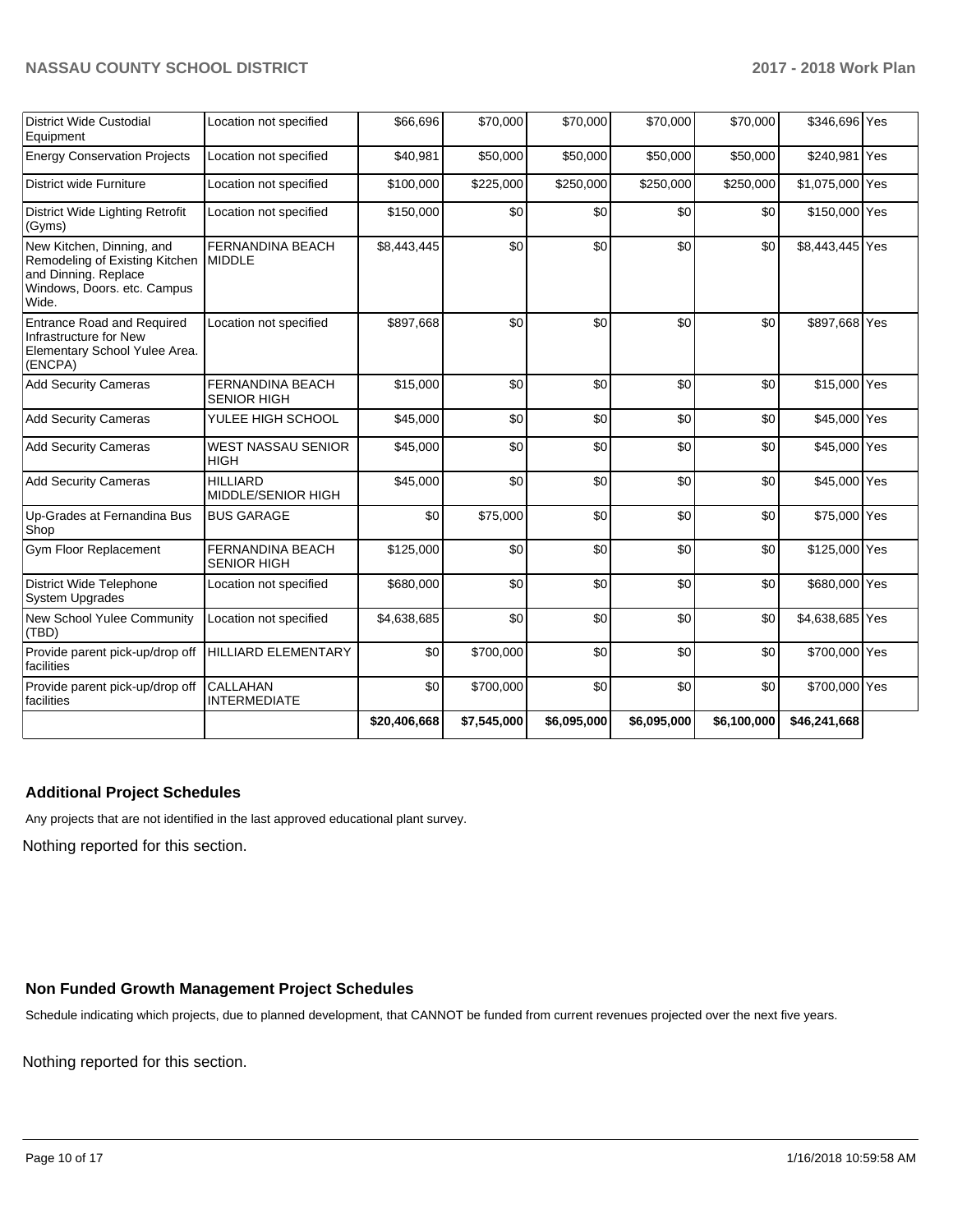| <b>District Wide Custodial</b><br>Equipment                                                                                 | Location not specified                        | \$66,696     | \$70,000    | \$70,000    | \$70,000    | \$70,000    | \$346,696 Yes   |  |
|-----------------------------------------------------------------------------------------------------------------------------|-----------------------------------------------|--------------|-------------|-------------|-------------|-------------|-----------------|--|
| <b>Energy Conservation Projects</b>                                                                                         | Location not specified                        | \$40,981     | \$50,000    | \$50,000    | \$50,000    | \$50,000    | \$240,981 Yes   |  |
| <b>District wide Furniture</b>                                                                                              | Location not specified                        | \$100,000    | \$225,000   | \$250,000   | \$250,000   | \$250,000   | \$1,075,000 Yes |  |
| District Wide Lighting Retrofit<br>(Gyms)                                                                                   | Location not specified                        | \$150,000    | \$0         | \$0         | \$0         | \$0         | \$150,000 Yes   |  |
| New Kitchen, Dinning, and<br>Remodeling of Existing Kitchen<br>and Dinning. Replace<br>Windows, Doors. etc. Campus<br>Wide. | <b>FERNANDINA BEACH</b><br><b>MIDDLE</b>      | \$8,443,445  | \$0         | \$0         | \$0         | \$0         | \$8,443,445 Yes |  |
| <b>Entrance Road and Required</b><br>Infrastructure for New<br>Elementary School Yulee Area.<br>(ENCPA)                     | Location not specified                        | \$897,668    | \$0         | \$0         | \$0         | \$0         | \$897,668 Yes   |  |
| <b>Add Security Cameras</b>                                                                                                 | <b>FERNANDINA BEACH</b><br><b>SENIOR HIGH</b> | \$15,000     | \$0         | \$0         | \$0         | \$0         | \$15,000 Yes    |  |
| <b>Add Security Cameras</b>                                                                                                 | YULEE HIGH SCHOOL                             | \$45,000     | \$0         | \$0         | \$0         | \$0         | \$45,000 Yes    |  |
| <b>Add Security Cameras</b>                                                                                                 | <b>WEST NASSAU SENIOR</b><br><b>HIGH</b>      | \$45,000     | \$0         | \$0         | \$0         | \$0         | \$45,000 Yes    |  |
| <b>Add Security Cameras</b>                                                                                                 | <b>HILLIARD</b><br><b>MIDDLE/SENIOR HIGH</b>  | \$45,000     | \$0         | \$0         | \$0         | \$0         | \$45,000 Yes    |  |
| Up-Grades at Fernandina Bus<br>Shop                                                                                         | <b>BUS GARAGE</b>                             | \$0          | \$75,000    | \$0         | \$0         | \$0         | \$75,000 Yes    |  |
| <b>Gym Floor Replacement</b>                                                                                                | <b>FERNANDINA BEACH</b><br><b>SENIOR HIGH</b> | \$125,000    | \$0         | \$0         | \$0         | \$0         | \$125,000 Yes   |  |
| <b>District Wide Telephone</b><br><b>System Upgrades</b>                                                                    | Location not specified                        | \$680,000    | \$0         | \$0         | \$0         | \$0         | \$680,000 Yes   |  |
| New School Yulee Community<br>(TBD)                                                                                         | Location not specified                        | \$4,638,685  | \$0         | \$0         | \$0         | \$0         | \$4,638,685 Yes |  |
| Provide parent pick-up/drop off<br>facilities                                                                               | <b>HILLIARD ELEMENTARY</b>                    | \$0          | \$700,000   | \$0         | \$0         | \$0         | \$700,000 Yes   |  |
| Provide parent pick-up/drop off<br>facilities                                                                               | <b>CALLAHAN</b><br><b>INTERMEDIATE</b>        | \$0          | \$700,000   | \$0         | \$0         | \$0         | \$700,000 Yes   |  |
|                                                                                                                             |                                               | \$20,406,668 | \$7,545,000 | \$6,095,000 | \$6,095,000 | \$6,100,000 | \$46,241,668    |  |

## **Additional Project Schedules**

Any projects that are not identified in the last approved educational plant survey.

Nothing reported for this section.

## **Non Funded Growth Management Project Schedules**

Schedule indicating which projects, due to planned development, that CANNOT be funded from current revenues projected over the next five years.

Nothing reported for this section.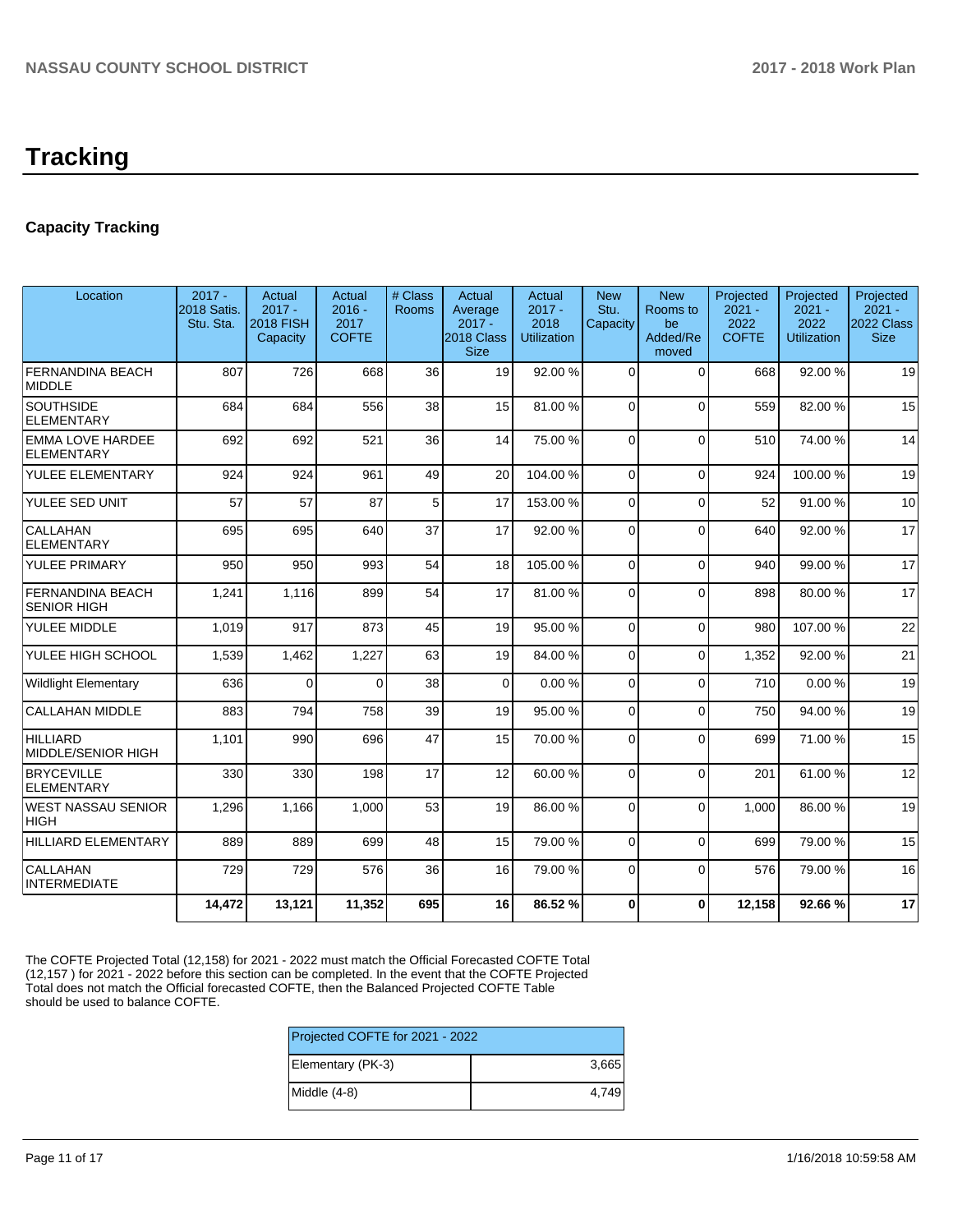## **Capacity Tracking**

| Location                                     | $2017 -$<br><b>2018 Satis.</b><br>Stu. Sta. | Actual<br>$2017 -$<br><b>2018 FISH</b><br>Capacity | Actual<br>$2016 -$<br>2017<br><b>COFTE</b> | # Class<br>Rooms | Actual<br>Average<br>$2017 -$<br>2018 Class<br><b>Size</b> | Actual<br>$2017 -$<br>2018<br><b>Utilization</b> | <b>New</b><br>Stu.<br>Capacity | <b>New</b><br>Rooms to<br>be<br>Added/Re<br>moved | Projected<br>$2021 -$<br>2022<br><b>COFTE</b> | Projected<br>$2021 -$<br>2022<br><b>Utilization</b> | Projected<br>$2021 -$<br>2022 Class<br><b>Size</b> |
|----------------------------------------------|---------------------------------------------|----------------------------------------------------|--------------------------------------------|------------------|------------------------------------------------------------|--------------------------------------------------|--------------------------------|---------------------------------------------------|-----------------------------------------------|-----------------------------------------------------|----------------------------------------------------|
| <b>FERNANDINA BEACH</b><br><b>MIDDLE</b>     | 807                                         | 726                                                | 668                                        | 36               | 19                                                         | 92.00 %                                          | $\Omega$                       | $\Omega$                                          | 668                                           | 92.00 %                                             | 19                                                 |
| <b>SOUTHSIDE</b><br><b>ELEMENTARY</b>        | 684                                         | 684                                                | 556                                        | 38               | 15                                                         | 81.00%                                           | $\Omega$                       | $\Omega$                                          | 559                                           | 82.00 %                                             | 15                                                 |
| <b>EMMA LOVE HARDEE</b><br><b>ELEMENTARY</b> | 692                                         | 692                                                | 521                                        | 36               | 14                                                         | 75.00 %                                          | $\Omega$                       | $\Omega$                                          | 510                                           | 74.00%                                              | 14                                                 |
| YULEE ELEMENTARY                             | 924                                         | 924                                                | 961                                        | 49               | 20                                                         | 104.00%                                          | $\Omega$                       | $\Omega$                                          | 924                                           | 100.00%                                             | 19                                                 |
| YULEE SED UNIT                               | 57                                          | 57                                                 | 87                                         | 5                | 17                                                         | 153.00 %                                         | $\Omega$                       | $\Omega$                                          | 52                                            | 91.00 %                                             | 10                                                 |
| <b>CALLAHAN</b><br><b>ELEMENTARY</b>         | 695                                         | 695                                                | 640                                        | 37               | 17                                                         | 92.00%                                           | $\Omega$                       | $\Omega$                                          | 640                                           | 92.00 %                                             | 17                                                 |
| YULEE PRIMARY                                | 950                                         | 950                                                | 993                                        | 54               | 18                                                         | 105.00%                                          | $\Omega$                       | $\Omega$                                          | 940                                           | 99.00 %                                             | 17                                                 |
| FERNANDINA BEACH<br><b>SENIOR HIGH</b>       | 1,241                                       | 1,116                                              | 899                                        | 54               | 17                                                         | 81.00%                                           | $\Omega$                       | $\Omega$                                          | 898                                           | 80.00 %                                             | 17                                                 |
| YULEE MIDDLE                                 | 1,019                                       | 917                                                | 873                                        | 45               | 19                                                         | 95.00 %                                          | $\Omega$                       | $\Omega$                                          | 980                                           | 107.00%                                             | 22                                                 |
| YULEE HIGH SCHOOL                            | 1,539                                       | 1,462                                              | 1,227                                      | 63               | 19                                                         | 84.00 %                                          | $\Omega$                       | $\Omega$                                          | 1,352                                         | 92.00 %                                             | 21                                                 |
| <b>Wildlight Elementary</b>                  | 636                                         | $\Omega$                                           | $\Omega$                                   | 38               | $\Omega$                                                   | 0.00%                                            | $\Omega$                       | $\Omega$                                          | 710                                           | 0.00%                                               | 19                                                 |
| <b>CALLAHAN MIDDLE</b>                       | 883                                         | 794                                                | 758                                        | 39               | 19                                                         | 95.00 %                                          | $\Omega$                       | $\Omega$                                          | 750                                           | 94.00 %                                             | 19                                                 |
| <b>HILLIARD</b><br><b>MIDDLE/SENIOR HIGH</b> | 1,101                                       | 990                                                | 696                                        | 47               | 15                                                         | 70.00%                                           | $\Omega$                       | $\Omega$                                          | 699                                           | 71.00 %                                             | 15                                                 |
| <b>BRYCEVILLE</b><br><b>ELEMENTARY</b>       | 330                                         | 330                                                | 198                                        | 17               | 12                                                         | 60.00%                                           | $\Omega$                       | $\Omega$                                          | 201                                           | 61.00%                                              | 12                                                 |
| <b>WEST NASSAU SENIOR</b><br><b>HIGH</b>     | 1,296                                       | 1,166                                              | 1,000                                      | 53               | 19                                                         | 86.00%                                           | $\Omega$                       | $\Omega$                                          | 1,000                                         | 86.00%                                              | 19                                                 |
| <b>HILLIARD ELEMENTARY</b>                   | 889                                         | 889                                                | 699                                        | 48               | 15                                                         | 79.00%                                           | $\Omega$                       | $\Omega$                                          | 699                                           | 79.00%                                              | 15                                                 |
| <b>CALLAHAN</b><br><b>INTERMEDIATE</b>       | 729                                         | 729                                                | 576                                        | 36               | 16                                                         | 79.00 %                                          | $\Omega$                       | $\Omega$                                          | 576                                           | 79.00 %                                             | 16                                                 |
|                                              | 14.472                                      | 13.121                                             | 11.352                                     | 695              | 16                                                         | 86.52%                                           | $\bf{0}$                       | $\mathbf{0}$                                      | 12.158                                        | 92.66%                                              | 17                                                 |

The COFTE Projected Total (12,158) for 2021 - 2022 must match the Official Forecasted COFTE Total (12,157 ) for 2021 - 2022 before this section can be completed. In the event that the COFTE Projected Total does not match the Official forecasted COFTE, then the Balanced Projected COFTE Table should be used to balance COFTE.

| Projected COFTE for 2021 - 2022 |       |  |  |  |
|---------------------------------|-------|--|--|--|
| Elementary (PK-3)               | 3.665 |  |  |  |
| Middle (4-8)                    | 4.749 |  |  |  |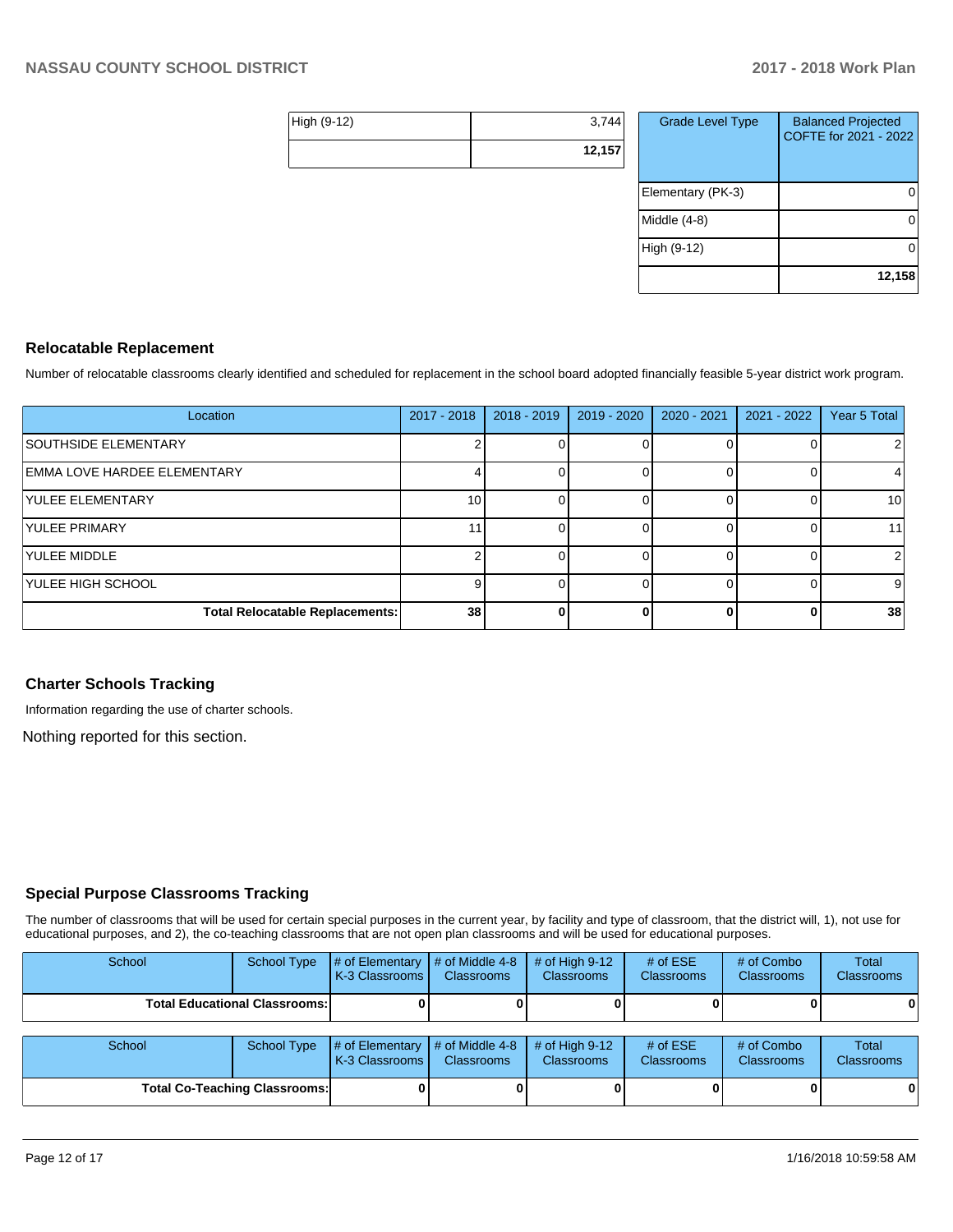| High (9-12) | 3,744  |
|-------------|--------|
|             | 12,157 |

| <b>Grade Level Type</b> | <b>Balanced Projected</b><br>COFTE for 2021 - 2022 |
|-------------------------|----------------------------------------------------|
| Elementary (PK-3)       |                                                    |
| Middle $(4-8)$          |                                                    |
| High (9-12)             |                                                    |
|                         | 12,158                                             |

### **Relocatable Replacement**

Number of relocatable classrooms clearly identified and scheduled for replacement in the school board adopted financially feasible 5-year district work program.

| Location                               | $2017 - 2018$ | $2018 - 2019$ | 2019 - 2020 | 2020 - 2021 | 2021 - 2022 | Year 5 Total |
|----------------------------------------|---------------|---------------|-------------|-------------|-------------|--------------|
| <b>SOUTHSIDE ELEMENTARY</b>            |               |               |             |             |             | 2            |
| <b>EMMA LOVE HARDEE ELEMENTARY</b>     |               |               |             |             |             | 4            |
| <b><i><u>IYULEE ELEMENTARY</u></i></b> | 10            |               |             |             |             | 10           |
| <b>YULEE PRIMARY</b>                   | 11            |               |             |             |             | 11           |
| <b>YULEE MIDDLE</b>                    |               |               |             |             |             | 2            |
| YULEE HIGH SCHOOL                      |               |               |             |             |             | 9            |
| <b>Total Relocatable Replacements:</b> | 38            |               |             | ŋ,          |             | 38           |

## **Charter Schools Tracking**

Information regarding the use of charter schools.

Nothing reported for this section.

## **Special Purpose Classrooms Tracking**

The number of classrooms that will be used for certain special purposes in the current year, by facility and type of classroom, that the district will, 1), not use for educational purposes, and 2), the co-teaching classrooms that are not open plan classrooms and will be used for educational purposes.

| School                               | School Type        | # of Elementary<br><b>K-3 Classrooms I</b> | # of Middle 4-8<br><b>Classrooms</b> | # of High $9-12$<br><b>Classrooms</b> | # of $ESE$<br><b>Classrooms</b> | # of Combo<br><b>Classrooms</b> | Total<br><b>Classrooms</b> |
|--------------------------------------|--------------------|--------------------------------------------|--------------------------------------|---------------------------------------|---------------------------------|---------------------------------|----------------------------|
| <b>Total Educational Classrooms:</b> |                    |                                            |                                      |                                       |                                 |                                 | 0                          |
| School                               | <b>School Type</b> | # of Elementary<br><b>K-3 Classrooms I</b> | # of Middle 4-8<br><b>Classrooms</b> | # of High $9-12$<br><b>Classrooms</b> | # of $ESE$<br><b>Classrooms</b> | # of Combo<br><b>Classrooms</b> | Total<br><b>Classrooms</b> |
| <b>Total Co-Teaching Classrooms:</b> |                    |                                            |                                      |                                       |                                 |                                 | 0                          |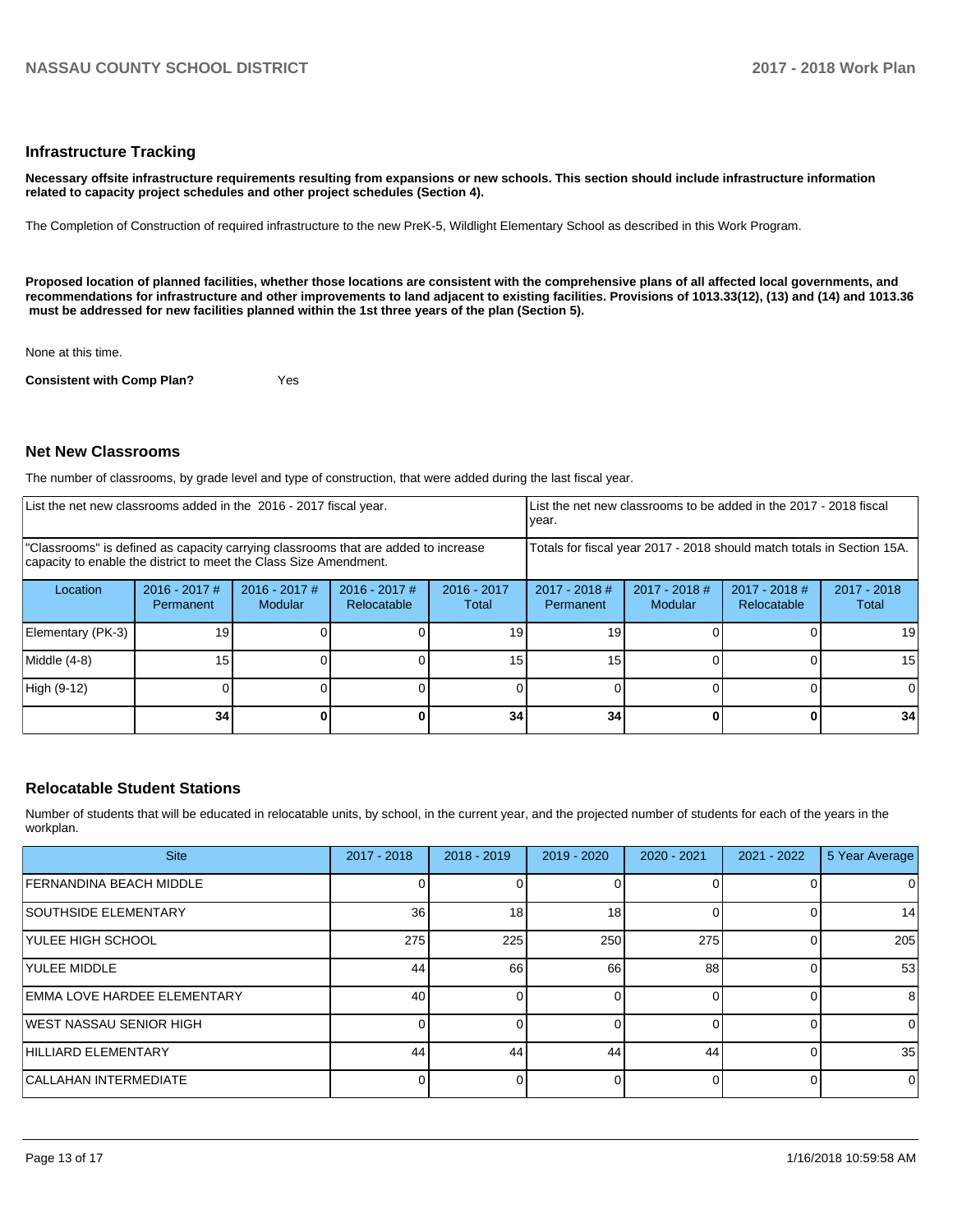#### **Infrastructure Tracking**

**Necessary offsite infrastructure requirements resulting from expansions or new schools. This section should include infrastructure information related to capacity project schedules and other project schedules (Section 4).** 

The Completion of Construction of required infrastructure to the new PreK-5, Wildlight Elementary School as described in this Work Program.

**Proposed location of planned facilities, whether those locations are consistent with the comprehensive plans of all affected local governments, and recommendations for infrastructure and other improvements to land adjacent to existing facilities. Provisions of 1013.33(12), (13) and (14) and 1013.36** must be addressed for new facilities planned within the 1st three years of the plan (Section 5).

None at this time.

**Consistent with Comp Plan?** Yes

#### **Net New Classrooms**

The number of classrooms, by grade level and type of construction, that were added during the last fiscal year.

| List the net new classrooms added in the 2016 - 2017 fiscal year.                                                                                       |                              |                                 |                                |                                                                        | List the net new classrooms to be added in the 2017 - 2018 fiscal<br>year. |                          |                              |                        |
|---------------------------------------------------------------------------------------------------------------------------------------------------------|------------------------------|---------------------------------|--------------------------------|------------------------------------------------------------------------|----------------------------------------------------------------------------|--------------------------|------------------------------|------------------------|
| "Classrooms" is defined as capacity carrying classrooms that are added to increase<br>capacity to enable the district to meet the Class Size Amendment. |                              |                                 |                                | Totals for fiscal year 2017 - 2018 should match totals in Section 15A. |                                                                            |                          |                              |                        |
| Location                                                                                                                                                | $2016 - 2017$ #<br>Permanent | 2016 - 2017 #<br><b>Modular</b> | $2016 - 2017$ #<br>Relocatable | $2016 - 2017$<br>Total                                                 | $2017 - 2018$ #<br>Permanent                                               | 2017 - 2018 #<br>Modular | 2017 - 2018 #<br>Relocatable | $2017 - 2018$<br>Total |
| Elementary (PK-3)                                                                                                                                       | 19                           |                                 |                                | 19                                                                     | 19                                                                         |                          |                              | 19                     |
| Middle (4-8)                                                                                                                                            | 15 <sub>1</sub>              |                                 |                                | 15                                                                     | 15                                                                         |                          |                              | 15                     |
| High (9-12)                                                                                                                                             |                              |                                 |                                |                                                                        |                                                                            |                          |                              |                        |
|                                                                                                                                                         | 34 <sub>1</sub>              |                                 |                                | 34                                                                     | 34                                                                         |                          |                              | 34                     |

## **Relocatable Student Stations**

Number of students that will be educated in relocatable units, by school, in the current year, and the projected number of students for each of the years in the workplan.

| <b>Site</b>                         | 2017 - 2018 | $2018 - 2019$ | 2019 - 2020 | $2020 - 2021$ | $2021 - 2022$ | 5 Year Average |
|-------------------------------------|-------------|---------------|-------------|---------------|---------------|----------------|
| <b>FERNANDINA BEACH MIDDLE</b>      |             |               |             |               |               | O              |
| <b>SOUTHSIDE ELEMENTARY</b>         | 36          | 18            | 18          |               |               | 14             |
| <b>YULEE HIGH SCHOOL</b>            | 275         | 225           | 250         | 275           |               | 205            |
| <b>YULEE MIDDLE</b>                 | 44          | 66            | 66          | 88            |               | 53             |
| <b>IEMMA LOVE HARDEE ELEMENTARY</b> | 40          |               |             |               |               | 8              |
| <b>IWEST NASSAU SENIOR HIGH</b>     |             |               |             |               |               |                |
| HILLIARD ELEMENTARY                 | 44          | 44            | 44          | 44            |               | 35             |
| <b>CALLAHAN INTERMEDIATE</b>        |             |               |             |               |               | 0              |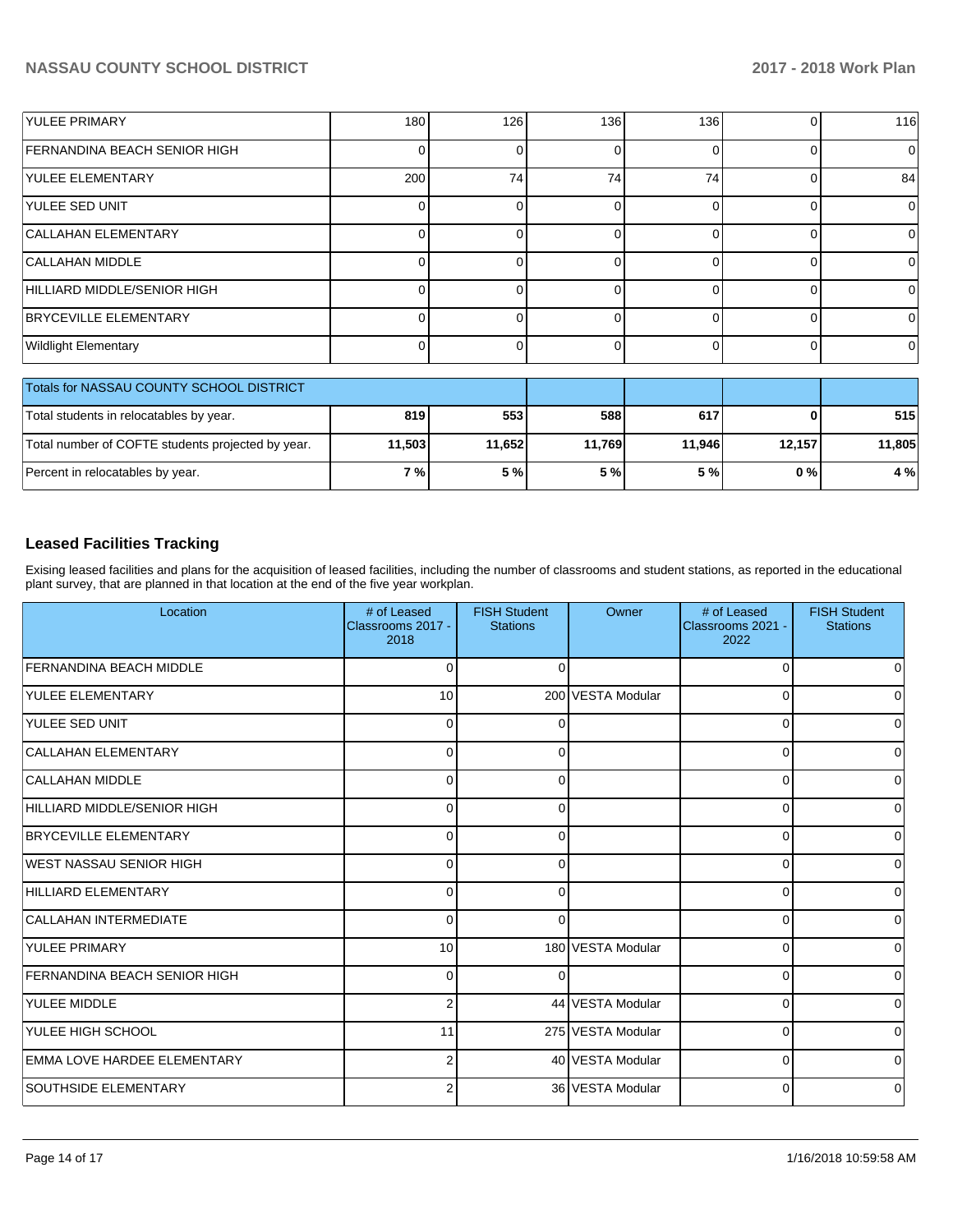| <b>YULEE PRIMARY</b>                | 180 | 126 | 136 | 136 | 116 |
|-------------------------------------|-----|-----|-----|-----|-----|
| <b>FERNANDINA BEACH SENIOR HIGH</b> |     |     |     |     | ΟI  |
| <b>YULEE ELEMENTARY</b>             | 200 | 74  | 74  | 74  | 84  |
| <b>YULEE SED UNIT</b>               |     |     |     |     | 0   |
| <b>CALLAHAN ELEMENTARY</b>          |     |     |     |     | 0   |
| CALLAHAN MIDDLE                     |     |     |     |     | 0   |
| HILLIARD MIDDLE/SENIOR HIGH         |     |     |     |     | 0   |
| <b>BRYCEVILLE ELEMENTARY</b>        |     |     |     |     | 01  |
| <b>Wildlight Elementary</b>         |     |     |     |     | 01  |

| Totals for NASSAU COUNTY SCHOOL DISTRICT          |            |        |        |        |        |        |
|---------------------------------------------------|------------|--------|--------|--------|--------|--------|
| Total students in relocatables by year.           | 819        | 553    | 588    | 617    |        | 515    |
| Total number of COFTE students projected by year. | 11.503     | 11,652 | 11.769 | 11.946 | 12.157 | 11,805 |
| Percent in relocatables by year.                  | <b>7</b> % | 5 %    | 5 %    | 5 % l  | 0 % I  | 4 %    |

## **Leased Facilities Tracking**

Exising leased facilities and plans for the acquisition of leased facilities, including the number of classrooms and student stations, as reported in the educational plant survey, that are planned in that location at the end of the five year workplan.

| Location                            | # of Leased<br>Classrooms 2017 -<br>2018 | <b>FISH Student</b><br><b>Stations</b> | Owner             | # of Leased<br>Classrooms 2021 -<br>2022 | <b>FISH Student</b><br><b>Stations</b> |
|-------------------------------------|------------------------------------------|----------------------------------------|-------------------|------------------------------------------|----------------------------------------|
| <b>FERNANDINA BEACH MIDDLE</b>      | $\Omega$                                 | 0                                      |                   | $\Omega$                                 | 0                                      |
| <b>YULEE ELEMENTARY</b>             | 10                                       |                                        | 200 VESTA Modular | $\Omega$                                 | o                                      |
| <b>YULEE SED UNIT</b>               | 0                                        | $\left($                               |                   | 0                                        | 0                                      |
| CALLAHAN ELEMENTARY                 | 0                                        | 0                                      |                   | 0                                        | 0                                      |
| <b>CALLAHAN MIDDLE</b>              | $\Omega$                                 | 0                                      |                   | $\Omega$                                 | 0                                      |
| HILLIARD MIDDLE/SENIOR HIGH         | $\Omega$                                 | O                                      |                   | $\Omega$                                 | $\Omega$                               |
| <b>BRYCEVILLE ELEMENTARY</b>        | $\Omega$                                 | O                                      |                   | $\Omega$                                 | $\Omega$                               |
| WEST NASSAU SENIOR HIGH             | $\Omega$                                 | 0                                      |                   | $\Omega$                                 | $\Omega$                               |
| HILLIARD ELEMENTARY                 | $\Omega$                                 | $\Omega$                               |                   | $\Omega$                                 | $\Omega$                               |
| CALLAHAN INTERMEDIATE               | $\Omega$                                 | ∩                                      |                   | 0                                        | <sup>0</sup>                           |
| <b>YULEE PRIMARY</b>                | 10                                       |                                        | 180 VESTA Modular | 0                                        | 0                                      |
| <b>FERNANDINA BEACH SENIOR HIGH</b> | 0                                        | n                                      |                   | $\mathbf 0$                              | 0                                      |
| <b>YULEE MIDDLE</b>                 | $\overline{2}$                           |                                        | 44 VESTA Modular  | 0                                        | 0                                      |
| YULEE HIGH SCHOOL                   | 11                                       |                                        | 275 VESTA Modular | 0                                        | $\Omega$                               |
| EMMA LOVE HARDEE ELEMENTARY         | 2                                        |                                        | 40 VESTA Modular  | $\overline{0}$                           | $\Omega$                               |
| <b>SOUTHSIDE ELEMENTARY</b>         | $\overline{2}$                           |                                        | 36 VESTA Modular  | $\overline{0}$                           | 0                                      |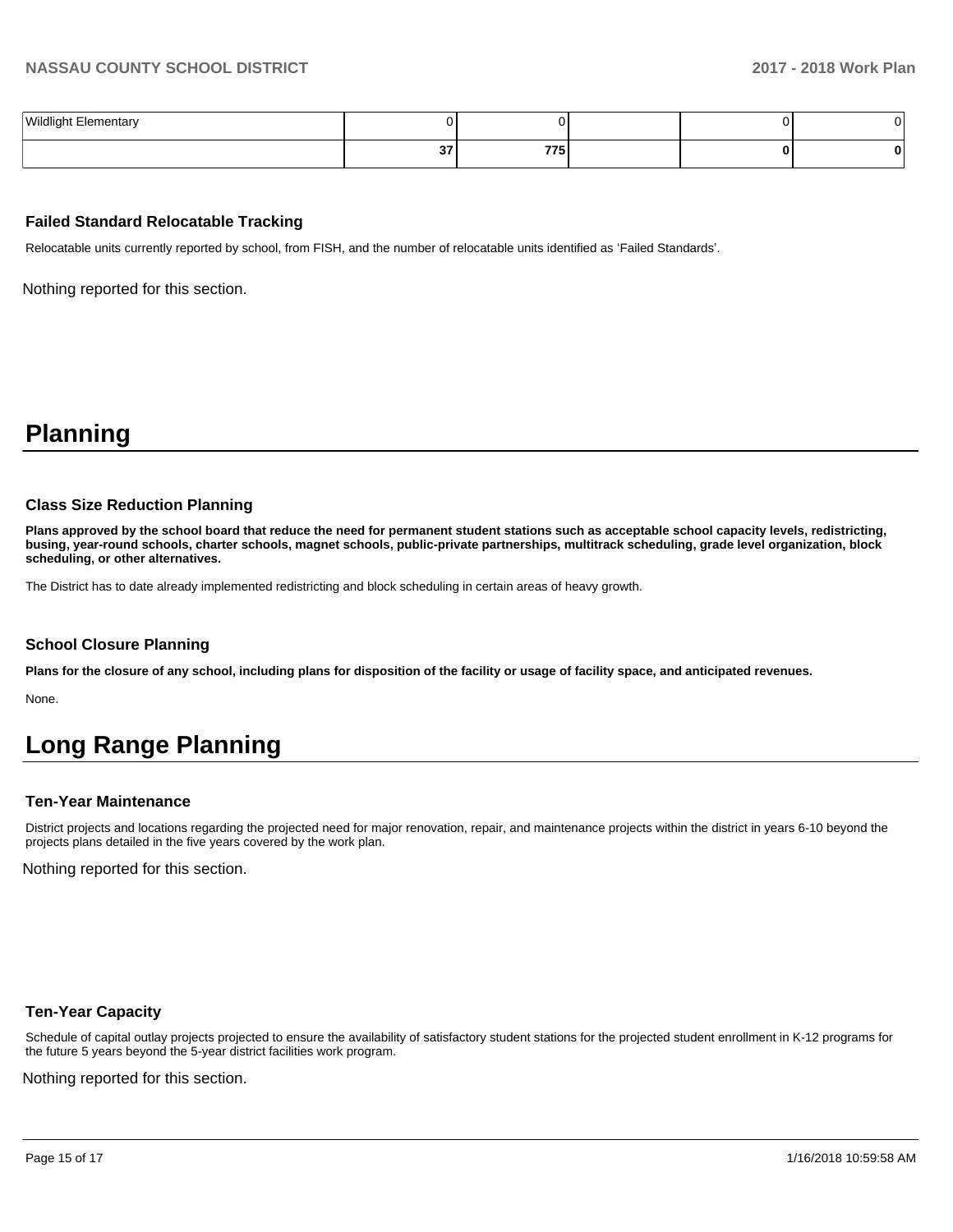| <b>Wildlight Elementary</b><br>. |        |     |  |  |
|----------------------------------|--------|-----|--|--|
|                                  | $\sim$ | 775 |  |  |

### **Failed Standard Relocatable Tracking**

Relocatable units currently reported by school, from FISH, and the number of relocatable units identified as 'Failed Standards'.

Nothing reported for this section.

# **Planning**

#### **Class Size Reduction Planning**

**Plans approved by the school board that reduce the need for permanent student stations such as acceptable school capacity levels, redistricting, busing, year-round schools, charter schools, magnet schools, public-private partnerships, multitrack scheduling, grade level organization, block scheduling, or other alternatives.**

The District has to date already implemented redistricting and block scheduling in certain areas of heavy growth.

#### **School Closure Planning**

**Plans for the closure of any school, including plans for disposition of the facility or usage of facility space, and anticipated revenues.** 

None.

# **Long Range Planning**

#### **Ten-Year Maintenance**

District projects and locations regarding the projected need for major renovation, repair, and maintenance projects within the district in years 6-10 beyond the projects plans detailed in the five years covered by the work plan.

Nothing reported for this section.

#### **Ten-Year Capacity**

Schedule of capital outlay projects projected to ensure the availability of satisfactory student stations for the projected student enrollment in K-12 programs for the future 5 years beyond the 5-year district facilities work program.

Nothing reported for this section.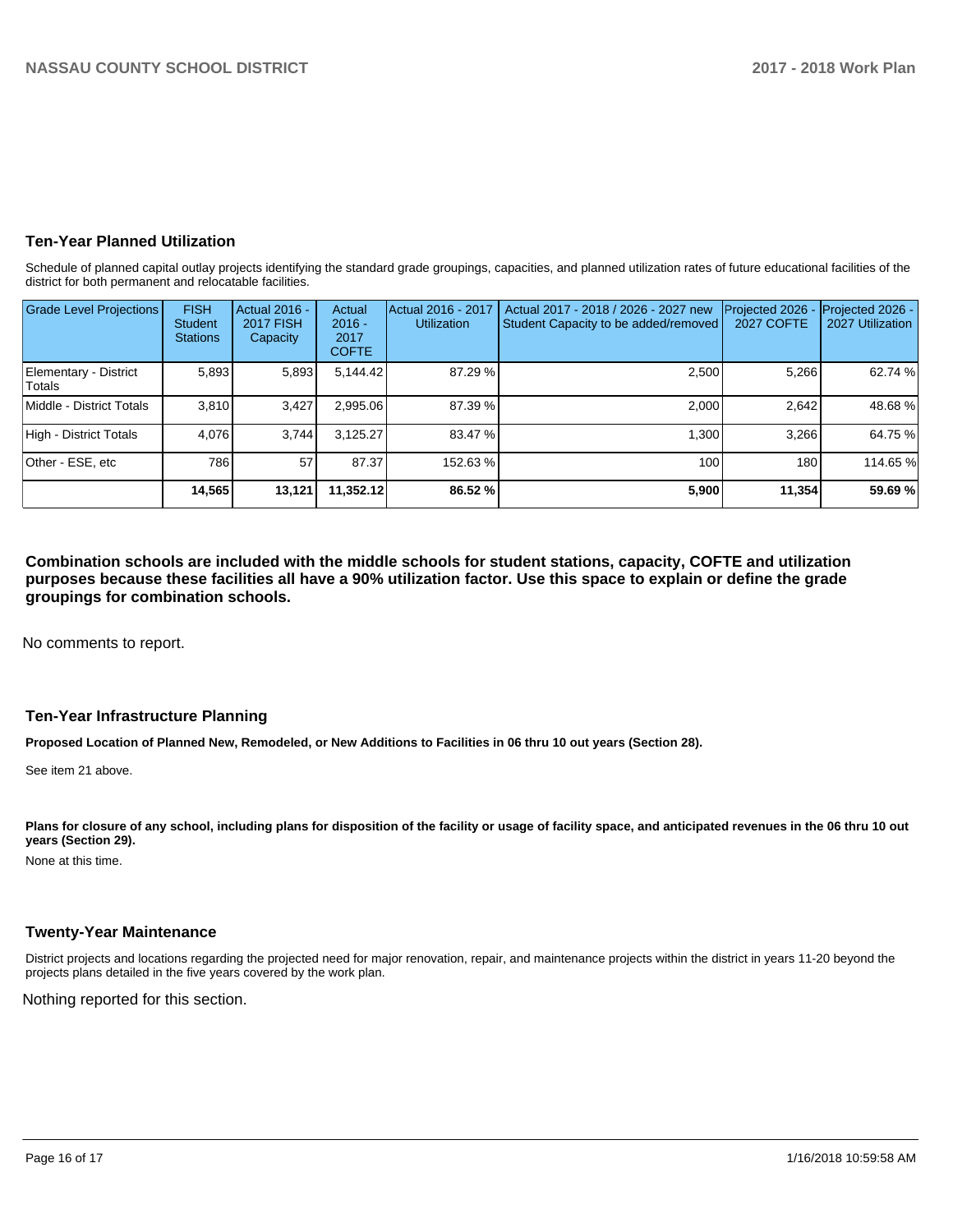### **Ten-Year Planned Utilization**

Schedule of planned capital outlay projects identifying the standard grade groupings, capacities, and planned utilization rates of future educational facilities of the district for both permanent and relocatable facilities.

| <b>Grade Level Projections</b>         | <b>FISH</b><br>Student<br><b>Stations</b> | Actual 2016 -<br><b>2017 FISH</b><br>Capacity | Actual<br>$2016 -$<br>2017<br><b>COFTE</b> | Actual 2016 - 2017<br>Utilization | Actual 2017 - 2018 / 2026 - 2027 new<br>Student Capacity to be added/removed | Projected 2026 -<br><b>2027 COFTE</b> | Projected 2026 -<br>2027 Utilization |
|----------------------------------------|-------------------------------------------|-----------------------------------------------|--------------------------------------------|-----------------------------------|------------------------------------------------------------------------------|---------------------------------------|--------------------------------------|
| Elementary - District<br><b>Totals</b> | 5,893                                     | 5,893                                         | 5,144.42                                   | 87.29 %                           | 2,500                                                                        | 5,266                                 | 62.74 %                              |
| Middle - District Totals               | 3.810                                     | 3,427                                         | 2.995.06                                   | 87.39 %                           | 2.000                                                                        | 2.642                                 | 48.68%                               |
| High - District Totals                 | 4.076                                     | 3.744                                         | 3.125.27                                   | 83.47 %                           | 1.300                                                                        | 3.266                                 | 64.75 %                              |
| Other - ESE, etc                       | 786                                       | 57                                            | 87.37                                      | 152.63%                           | 100                                                                          | 180                                   | 114.65 %                             |
|                                        | 14,565                                    | 13,121                                        | 11.352.12                                  | 86.52 %                           | 5,900                                                                        | 11,354                                | 59.69%                               |

**Combination schools are included with the middle schools for student stations, capacity, COFTE and utilization purposes because these facilities all have a 90% utilization factor. Use this space to explain or define the grade groupings for combination schools.** 

No comments to report.

#### **Ten-Year Infrastructure Planning**

**Proposed Location of Planned New, Remodeled, or New Additions to Facilities in 06 thru 10 out years (Section 28).**

See item 21 above.

Plans for closure of any school, including plans for disposition of the facility or usage of facility space, and anticipated revenues in the 06 thru 10 out **years (Section 29).**

None at this time.

### **Twenty-Year Maintenance**

District projects and locations regarding the projected need for major renovation, repair, and maintenance projects within the district in years 11-20 beyond the projects plans detailed in the five years covered by the work plan.

Nothing reported for this section.